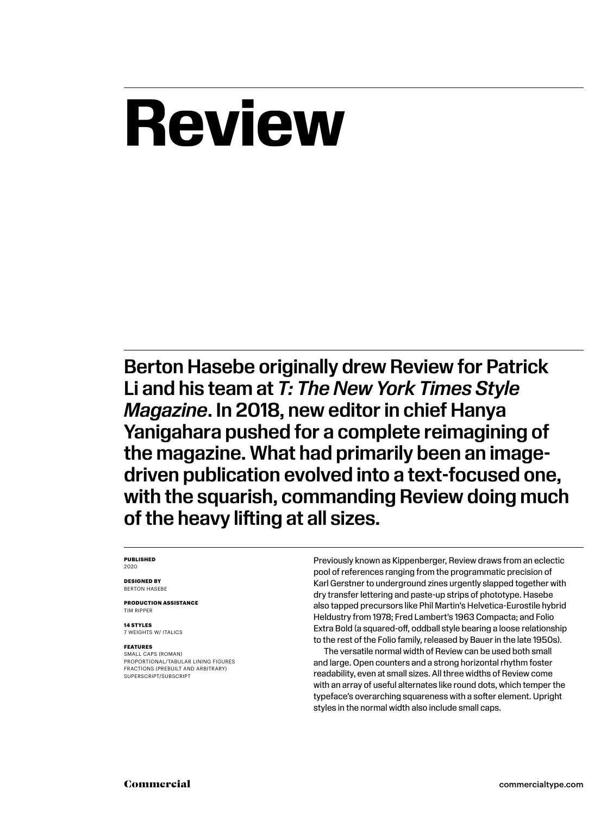# **Review**

Berton Hasebe originally drew Review for Patrick Li and his team at *T: The New York Times Style Magazine*. In 2018, new editor in chief Hanya Yanigahara pushed for a complete reimagining of the magazine. What had primarily been an imagedriven publication evolved into a text-focused one, with the squarish, commanding Review doing much of the heavy lifting at all sizes.

#### **PUBLISHED** 2020

**DESIGNED BY** BERTON HASEBE

**PRODUCTION ASSISTANCE** TIM RIPPER

**14 STYLES** 7 WEIGHTS W/ ITALICS

#### **FEATURES**

SMALL CAPS (ROMAN) PROPORTIONAL/TABULAR LINING FIGURES FRACTIONS (PREBUILT AND ARBITRARY) SUPERSCRIPT/SUBSCRIPT

Previously known as Kippenberger, Review draws from an eclectic pool of references ranging from the programmatic precision of Karl Gerstner to underground zines urgently slapped together with dry transfer lettering and paste-up strips of phototype. Hasebe also tapped precursors like Phil Martin's Helvetica-Eurostile hybrid Heldustry from 1978; Fred Lambert's 1963 Compacta; and Folio Extra Bold (a squared-off, oddball style bearing a loose relationship to the rest of the Folio family, released by Bauer in the late 1950s).

The versatile normal width of Review can be used both small and large. Open counters and a strong horizontal rhythm foster readability, even at small sizes. All three widths of Review come with an array of useful alternates like round dots, which temper the typeface's overarching squareness with a softer element. Upright styles in the normal width also include small caps.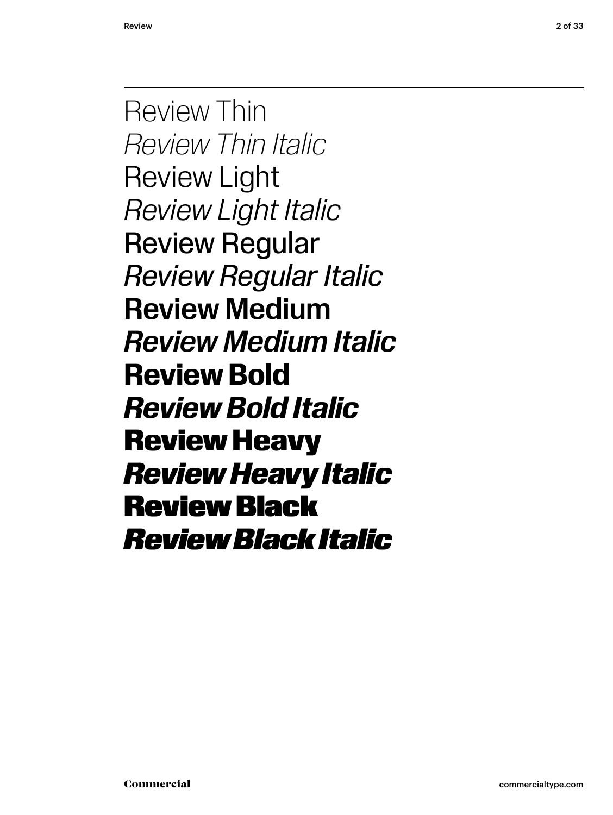Review Thin *Review Thin Italic* Review Light *Review Light Italic* Review Regular *Review Regular Italic* Review Medium *Review Medium Italic* **Review Bold** *Review Bold Italic* Review Heavy *Review Heavy Italic* Review Black *Review Black Italic*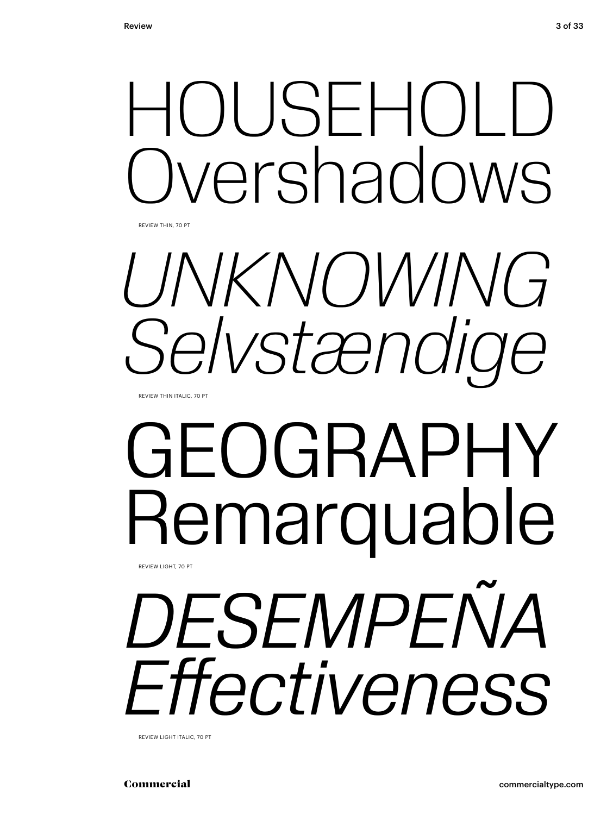# HOUSEHOLD vershadows

REVIEW THIN, 70 PT



# GEOGRAPHY Remarquable REVIEW LIGHT, 70 PT

*DESEMPEÑA Effectiveness*

REVIEW LIGHT ITALIC, 70 PT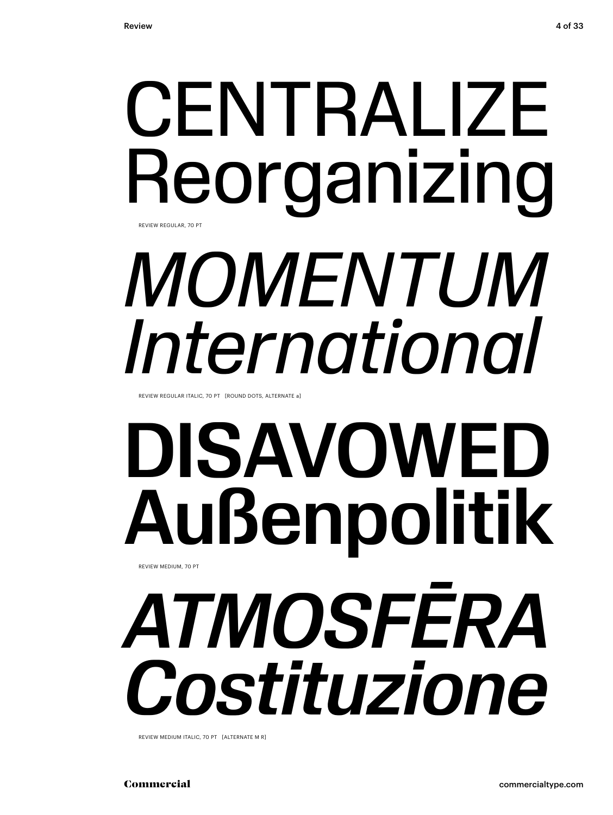# CENTRALIZE Reorganizing *MOMENTUM International*  REVIEW REGULAR, 70 PT

REVIEW REGULAR ITALIC, 70 PT [ROUND DOTS, ALTERNATE a]

# DISAVOWED Außenpolitik REVIEW MEDIUM, 70 PT

*ATMOSFĒRA Costituzione*

REVIEW MEDIUM ITALIC, 70 PT [ALTERNATE M R]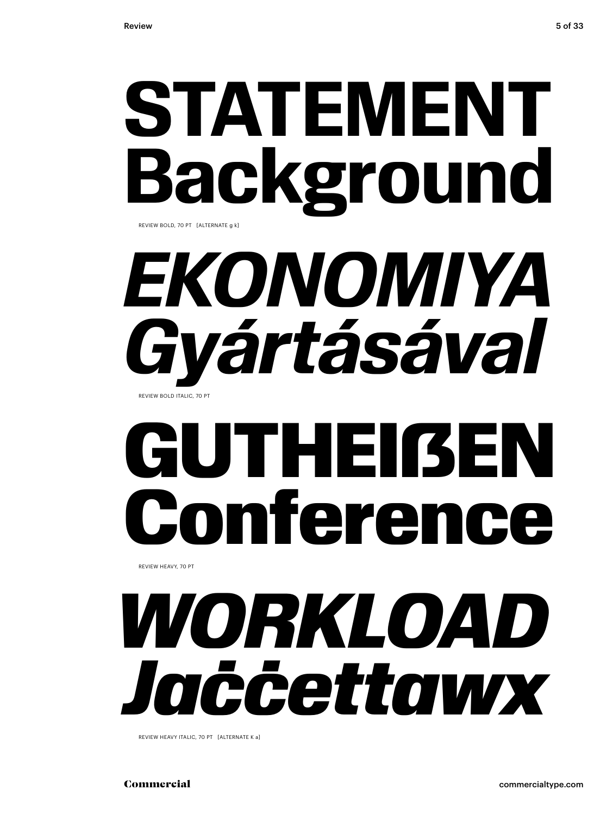# **STATEMENT Background**

REVIEW BOLD, 70 PT [ALTERNATE g k]

# *EKONOMIYA Gyártásával* REVIEW BOLD ITALIC, 70 PT

# **GUTHEIßEN<br>Conference** Confere

REVIEW HEAVY, 70 PT

# *WORKLOAD Jaċċettawx*

REVIEW HEAVY ITALIC, 70 PT [ALTERNATE K a]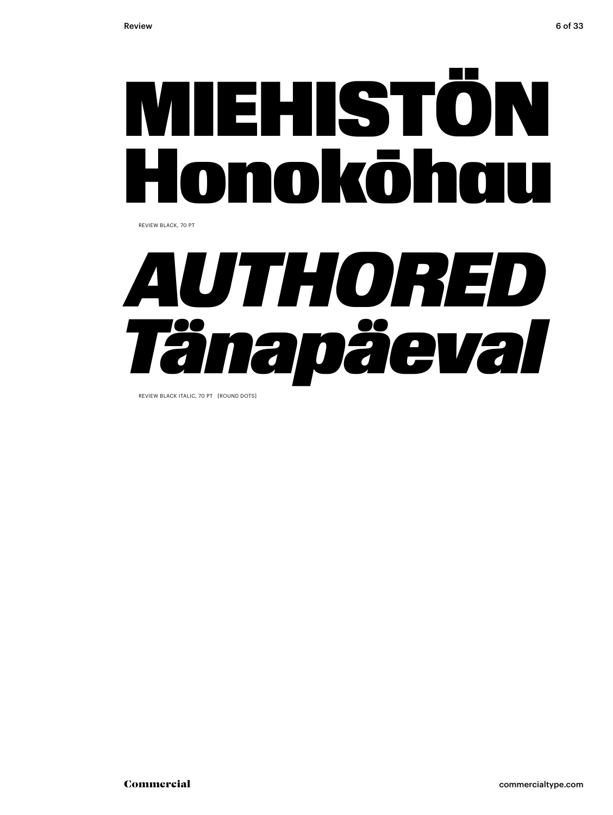

REVIEW BLACK, 70 PT



REVIEW BLACK ITALIC, 70 PT [ROUND DOTS]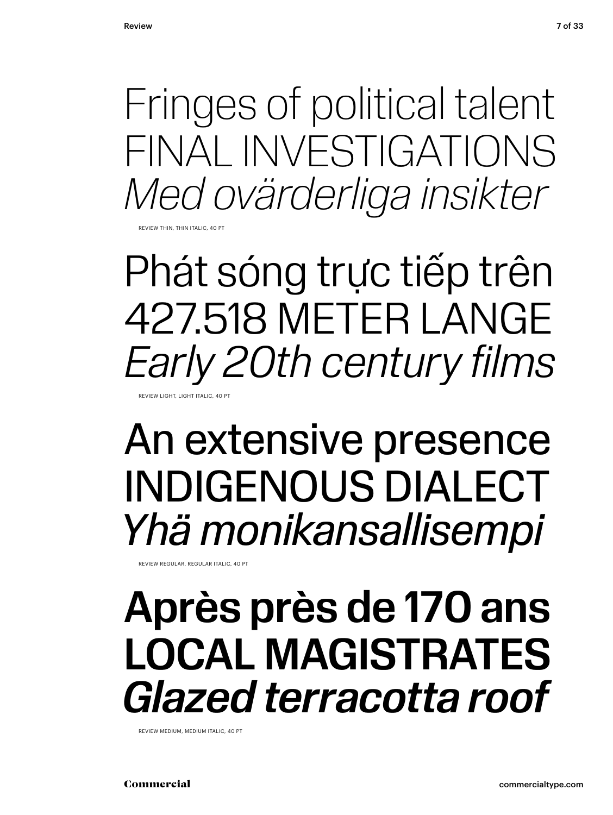Fringes of political talent FINAL INVESTIGATIONS *Med ovärderliga insikter*

REVIEW THIN, THIN ITALIC, 40 PT

Phát sóng trực tiếp trên 427.518 METER LANGE *Early 20th century films* REVIEW LIGHT, LIGHT ITALIC, 40 PT

## An extensive presence INDIGENOUS DIALECT *Yhä monikansallisempi*

REVIEW REGULAR, REGULAR ITALIC, 40 PT

## Après près de 170 ans LOCAL MAGISTRATES *Glazed terracotta roof*

REVIEW MEDIUM, MEDIUM ITALIC, 40 PT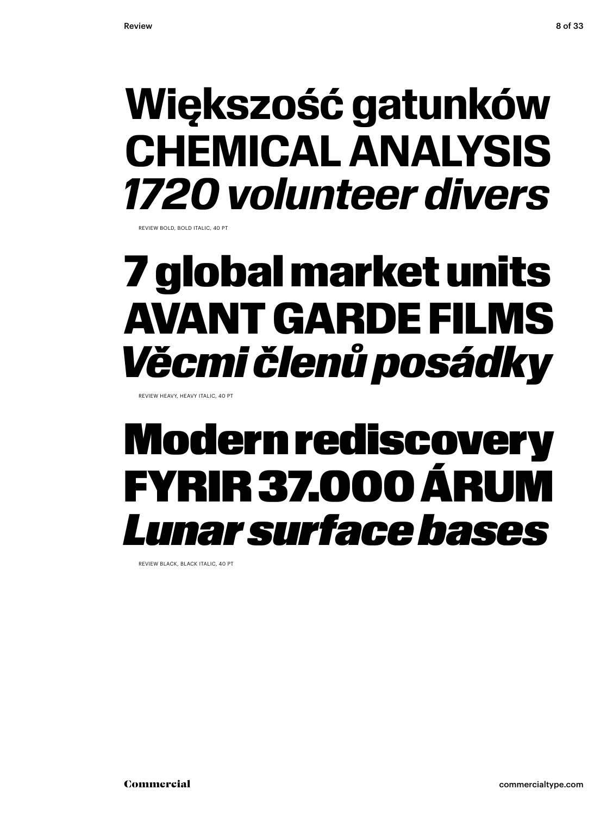## **Większość gatunków CHEMICAL ANALYSIS** *1720 volunteer divers*

REVIEW BOLD, BOLD ITALIC, 40 PT

## 7 global market units AVANT GARDE FILMS *Věcmi členů posádky*

REVIEW HEAVY, HEAVY ITALIC, 40 PT

## Modern rediscovery FYRIR 37.000 ÁRUM *Lunar surface bases*

REVIEW BLACK, BLACK ITALIC, 40 PT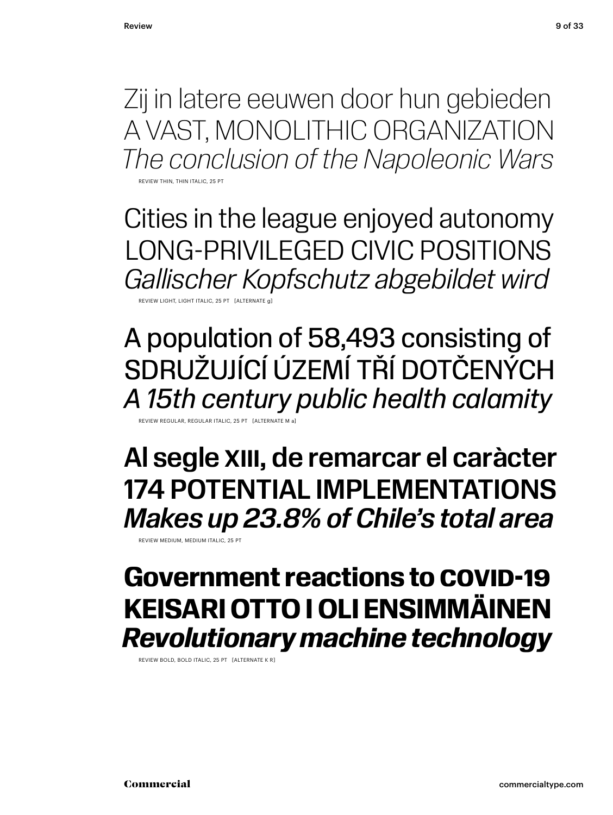Zij in latere eeuwen door hun gebieden A VAST, MONOLITHIC ORGANIZATION *The conclusion of the Napoleonic Wars*

**REVIEW THIN THIN ITALIC, 25 PT** 

Cities in the league enjoyed autonomy LONG-PRIVILEGED CIVIC POSITIONS *Gallischer Kopfschutz abgebildet wird*

REVIEW LIGHT, LIGHT ITALIC, 25 PT [ALTERNATE g]

A population of 58,493 consisting of SDRUŽUJÍCÍ ÚZEMÍ TŘÍ DOTČENÝCH *A 15th century public health calamity*

REVIEW REGULAR, REGULAR ITALIC, 25 PT [ALTERNATE M a]

Al segle XIII, de remarcar el caràcter 174 POTENTIAL IMPLEMENTATIONS *Makes up 23.8% of Chile's total area*

REVIEW MEDIUM, MEDIUM ITALIC, 25 PT

### **Government reactions to COVID-19 KEISARI OTTO I OLI ENSIMMÄINEN** *Revolutionary machine technology*

REVIEW BOLD, BOLD ITALIC, 25 PT [ALTERNATE K R]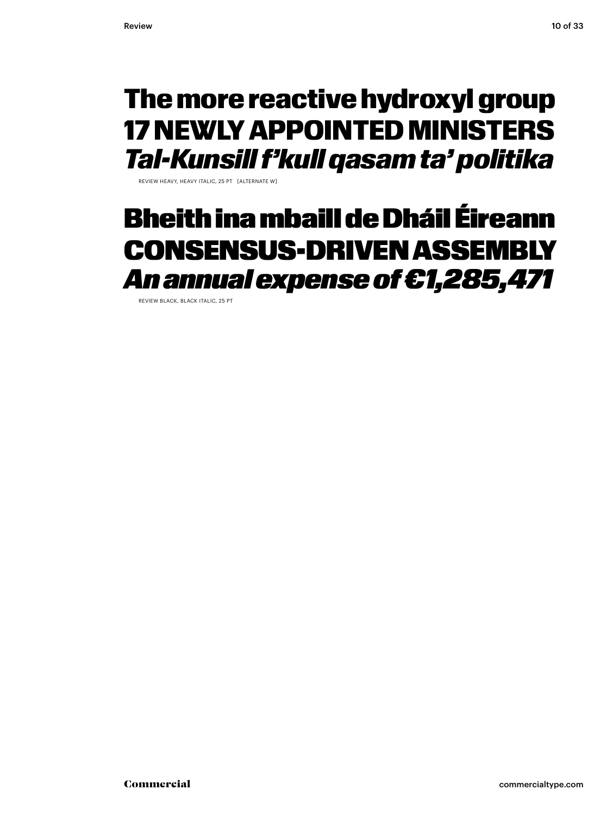### The more reactive hydroxyl group 17 NEWLY APPOINTED MINISTERS *Tal-Kunsill f'kull qasam ta' politika*

REVIEW HEAVY, HEAVY ITALIC, 25 PT [ALTERNATE W]

### Bheith ina mbaill de Dháil Éireann CONSENSUS-DRIVEN ASSEMBLY *An annual expense of €1,285,471*

REVIEW BLACK, BLACK ITALIC, 25 PT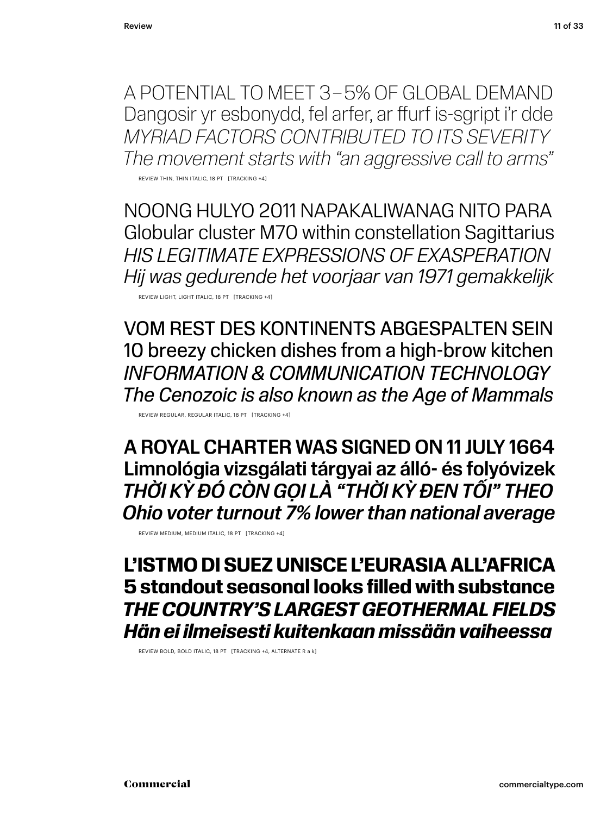A POTENTIAL TO MEET 3 – 5% OF GLOBAL DEMAND Dangosir yr esbonydd, fel arfer, ar ffurf is-sgript i'r dde *MYRIAD FACTORS CONTRIBUTED TO ITS SEVERITY The movement starts with "an aggressive call to arms"*

REVIEW THIN, THIN ITALIC, 18 PT [TRACKING +4]

NOONG HULYO 2011 NAPAKALIWANAG NITO PARA Globular cluster M70 within constellation Sagittarius *HIS LEGITIMATE EXPRESSIONS OF EXASPERATION Hij was gedurende het voorjaar van 1971 gemakkelijk*

REVIEW LIGHT, LIGHT ITALIC, 18 PT [TRACKING +4]

VOM REST DES KONTINENTS ABGESPALTEN SEIN 10 breezy chicken dishes from a high-brow kitchen *INFORMATION & COMMUNICATION TECHNOLOGY The Cenozoic is also known as the Age of Mammals*

REVIEW REGULAR, REGULAR ITALIC, 18 PT [TRACKING +4]

A ROYAL CHARTER WAS SIGNED ON 11 JULY 1664 Limnológia vizsgálati tárgyai az álló- és folyóvizek *THỜI KỲ ĐÓ CÒN GỌI LÀ "THỜI KỲ ĐEN TỐI" THEO Ohio voter turnout 7% lower than national average*

REVIEW MEDIUM, MEDIUM ITALIC, 18 PT [TRACKING +4]

### **L'ISTMO DI SUEZ UNISCE L'EURASIA ALL'AFRICA 5 standout seasonal looks filled with substance** *THE COUNTRY'S LARGEST GEOTHERMAL FIELDS Hän ei ilmeisesti kuitenkaan missään vaiheessa*

REVIEW BOLD, BOLD ITALIC, 18 PT [TRACKING +4, ALTERNATE R a k]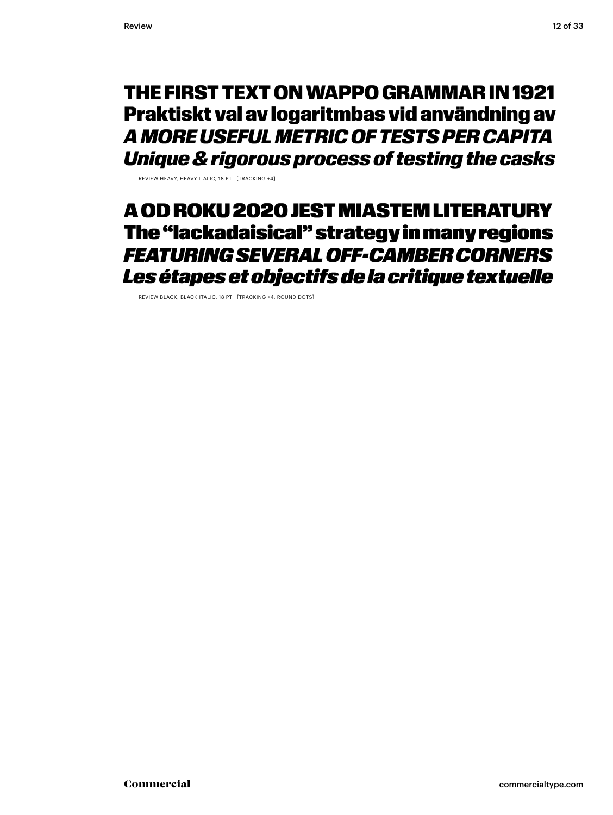### THE FIRST TEXT ON WAPPO GRAMMAR IN 1921 Praktiskt val av logaritmbas vid användning av *A MORE USEFUL METRIC OF TESTS PER CAPITA Unique & rigorous process of testing the casks*

REVIEW HEAVY, HEAVY ITALIC, 18 PT [TRACKING +4]

### A OD ROKU 2020 JEST MIASTEM LITERATURY The "lackadaisical" strategy in many regions *FEATURING SEVERAL OFF-CAMBER CORNERS Les étapes et objectifs de la critique textuelle*

REVIEW BLACK, BLACK ITALIC, 18 PT [TRACKING +4, ROUND DOTS]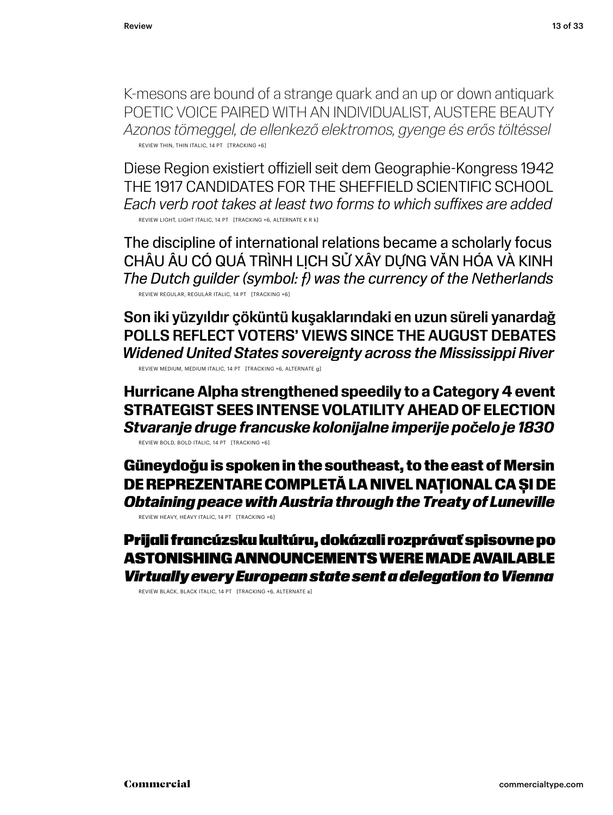K-mesons are bound of a strange quark and an up or down antiquark POETIC VOICE PAIRED WITH AN INDIVIDUALIST, AUSTERE BEAUTY *Azonos tömeggel, de ellenkező elektromos, gyenge és erős töltéssel* REVIEW THIN, THIN ITALIC, 14 PT [TRACKING +6]

Diese Region existiert offiziell seit dem Geographie-Kongress 1942 THE 1917 CANDIDATES FOR THE SHEFFIELD SCIENTIFIC SCHOOL *Each verb root takes at least two forms to which suffixes are added* REVIEW LIGHT, LIGHT ITALIC. 14 PT [TRACKING +6, ALTERNATE K R k]

The discipline of international relations became a scholarly focus CHÂU ÂU CÓ QUÁ TRÌNH LỊCH SỬ XÂY DỰNG VĂN HÓA VÀ KINH *The Dutch guilder (symbol: ƒ) was the currency of the Netherlands* REVIEW REGULAR, REGULAR ITALIC, 14 PT [TRACKING +6]

Son iki yüzyıldır çöküntü kuşaklarındaki en uzun süreli yanardağ POLLS REFLECT VOTERS' VIEWS SINCE THE AUGUST DEBATES *Widened United States sovereignty across the Mississippi River* REVIEW MEDIUM, MEDIUM ITALIC, 14 PT [TRACKING +6, ALTERNATE g]

**Hurricane Alpha strengthened speedily to a Category 4 event STRATEGIST SEES INTENSE VOLATILITY AHEAD OF ELECTION** *Stvaranje druge francuske kolonijalne imperije počelo je 1830* REVIEW BOLD, BOLD ITALIC, 14 PT [TRACKING +6]

Güneydoğu is spoken in the southeast, to the east of Mersin DE REPREZENTARE COMPLETĂ LA NIVEL NAȚIONAL CA ȘI DE *Obtaining peace with Austria through the Treaty of Luneville* 

REVIEW HEAVY, HEAVY ITALIC, 14 PT [TRACKING +6]

Prijali francúzsku kultúru, dokázali rozprávať spisovne po ASTONISHING ANNOUNCEMENTS WERE MADE AVAILABLE *Virtually every European state sent a delegation to Vienna*

REVIEW BLACK, BLACK ITALIC, 14 PT [TRACKING +6, ALTERNATE a]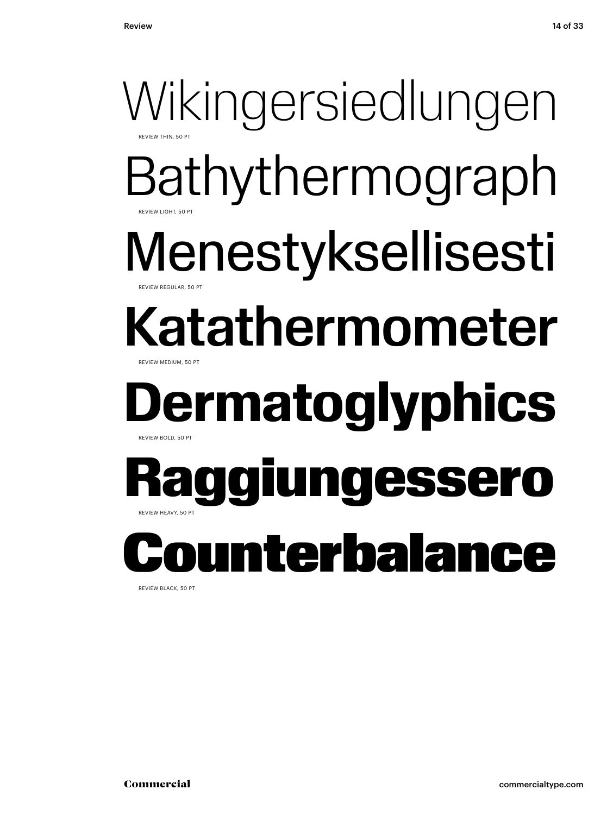# Wikingersiedlungen Bathythermograph

REVIEW LIGHT, 50 PT

REVIEW THIN, 50 PT

### Menestyksellisesti EVIEW REGULAR, 50 PT

### Katathermometer REVIEW MEDIUM, 50 PT

### **Dermatoglyphics** REVIEW BOLD, 50 PT

### Raggiungessero REVIEW HEAVY, 50 PT

# nterbala

REVIEW BLACK, 50 PT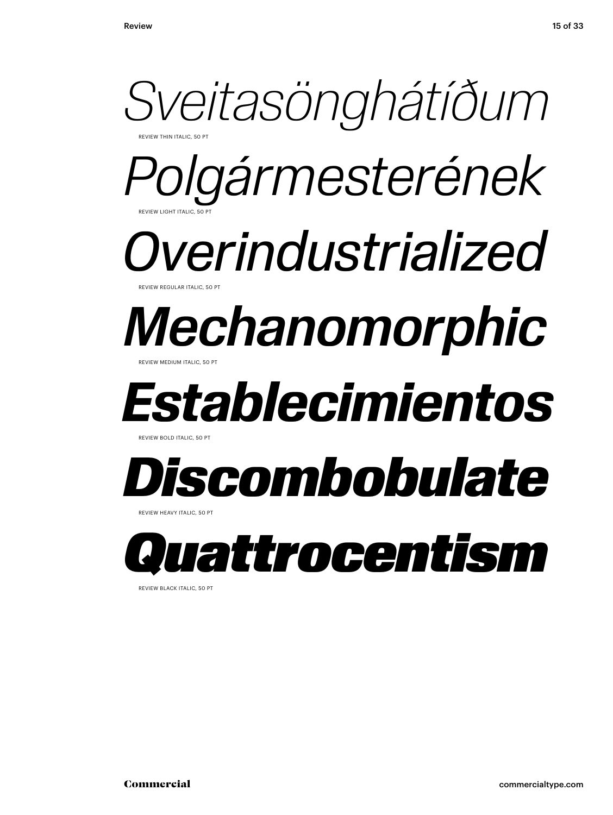

REVIEW BLACK ITALIC, 50 PT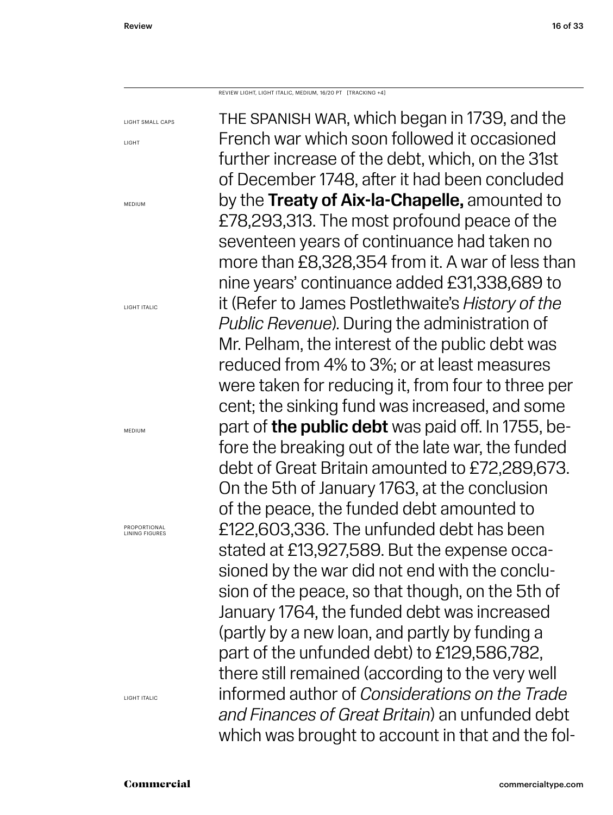REVIEW LIGHT, LIGHT ITALIC, MEDIUM, 16/20 PT [TRACKING +4]

the spanish war, which began in 1739, and the French war which soon followed it occasioned further increase of the debt, which, on the 31st of December 1748, after it had been concluded by the Treaty of Aix-la-Chapelle, amounted to £78,293,313. The most profound peace of the seventeen years of continuance had taken no more than £8,328,354 from it. A war of less than nine years' continuance added £31,338,689 to it (Refer to James Postlethwaite's *History of the Public Revenue*). During the administration of Mr. Pelham, the interest of the public debt was reduced from 4% to 3%; or at least measures were taken for reducing it, from four to three per cent; the sinking fund was increased, and some part of **the public debt** was paid off. In 1755, before the breaking out of the late war, the funded debt of Great Britain amounted to £72,289,673. On the 5th of January 1763, at the conclusion of the peace, the funded debt amounted to £122,603,336. The unfunded debt has been stated at £13,927,589. But the expense occasioned by the war did not end with the conclusion of the peace, so that though, on the 5th of January 1764, the funded debt was increased (partly by a new loan, and partly by funding a part of the unfunded debt) to £129,586,782, there still remained (according to the very well informed author of *Considerations on the Trade and Finances of Great Britain*) an unfunded debt which was brought to account in that and the fol-

#### LIGHT SMALL CAPS LIGHT

MEDIUM

LIGHT ITALIC

MEDIUM

PROPORTIONAL LINING FIGURES

LIGHT ITALIC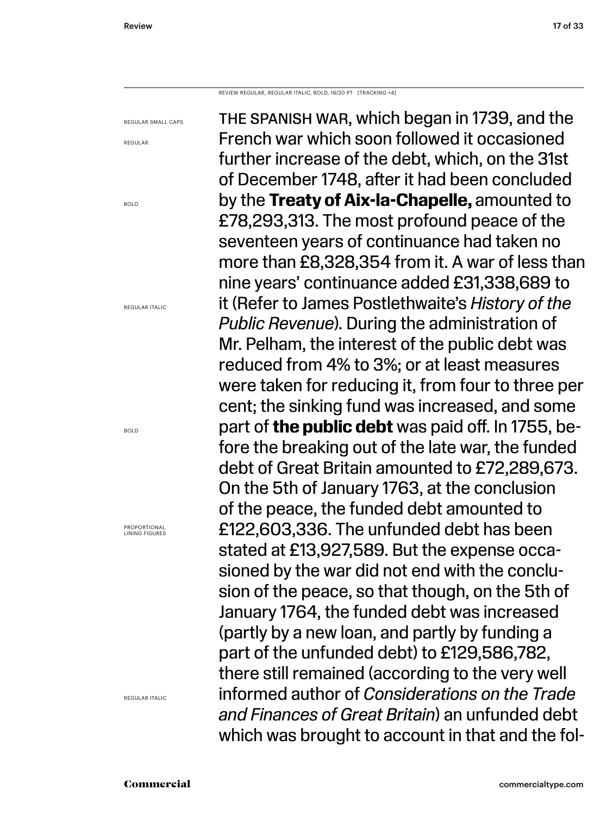REVIEW REGULAR, REGULAR ITALIC, BOLD, 16/20 PT [TRACKING +4]

REGULAR SMALL CAPS

BOLD

REGULAR

REGULAR ITALIC

BOLD

PROPORTIONAL LINING FIGURES

REGULAR ITALIC

the spanish war, which began in 1739, and the French war which soon followed it occasioned further increase of the debt, which, on the 31st of December 1748, after it had been concluded by the **Treaty of Aix-la-Chapelle,** amounted to £78,293,313. The most profound peace of the seventeen years of continuance had taken no more than £8,328,354 from it. A war of less than nine years' continuance added £31,338,689 to it (Refer to James Postlethwaite's *History of the Public Revenue*). During the administration of Mr. Pelham, the interest of the public debt was reduced from 4% to 3%; or at least measures were taken for reducing it, from four to three per cent; the sinking fund was increased, and some part of **the public debt** was paid off. In 1755, before the breaking out of the late war, the funded debt of Great Britain amounted to £72,289,673. On the 5th of January 1763, at the conclusion of the peace, the funded debt amounted to £122,603,336. The unfunded debt has been stated at £13,927,589. But the expense occasioned by the war did not end with the conclusion of the peace, so that though, on the 5th of January 1764, the funded debt was increased (partly by a new loan, and partly by funding a part of the unfunded debt) to £129,586,782, there still remained (according to the very well informed author of *Considerations on the Trade and Finances of Great Britain*) an unfunded debt which was brought to account in that and the fol-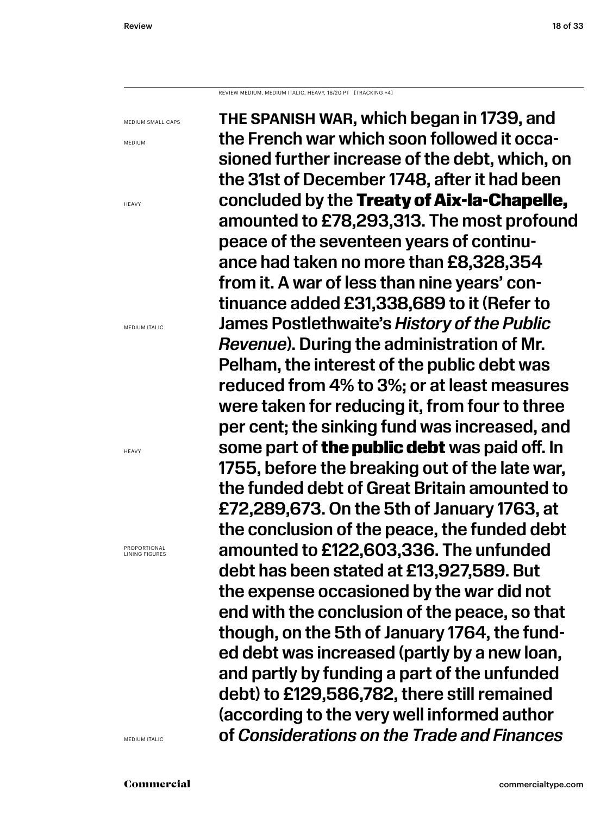#### REVIEW MEDIUM, MEDIUM ITALIC, HEAVY, 16/20 PT [TRACKING +4]

MEDIUM SMALL CAPS

MEDIUM

**HFAVY** 

MEDIUM ITALIC

HEAVY

PROPORTIONAL LINING FIGURES

MEDIUM ITALIC

the spanish war, which began in 1739, and the French war which soon followed it occasioned further increase of the debt, which, on the 31st of December 1748, after it had been concluded by the Treaty of Aix-la-Chapelle, amounted to £78,293,313. The most profound peace of the seventeen years of continuance had taken no more than £8,328,354 from it. A war of less than nine years' continuance added £31,338,689 to it (Refer to James Postlethwaite's *History of the Public Revenue*). During the administration of Mr. Pelham, the interest of the public debt was reduced from 4% to 3%; or at least measures were taken for reducing it, from four to three per cent; the sinking fund was increased, and some part of **the public debt** was paid off. In 1755, before the breaking out of the late war, the funded debt of Great Britain amounted to £72,289,673. On the 5th of January 1763, at the conclusion of the peace, the funded debt amounted to £122,603,336. The unfunded debt has been stated at £13,927,589. But the expense occasioned by the war did not end with the conclusion of the peace, so that though, on the 5th of January 1764, the funded debt was increased (partly by a new loan, and partly by funding a part of the unfunded debt) to £129,586,782, there still remained (according to the very well informed author of *Considerations on the Trade and Finances*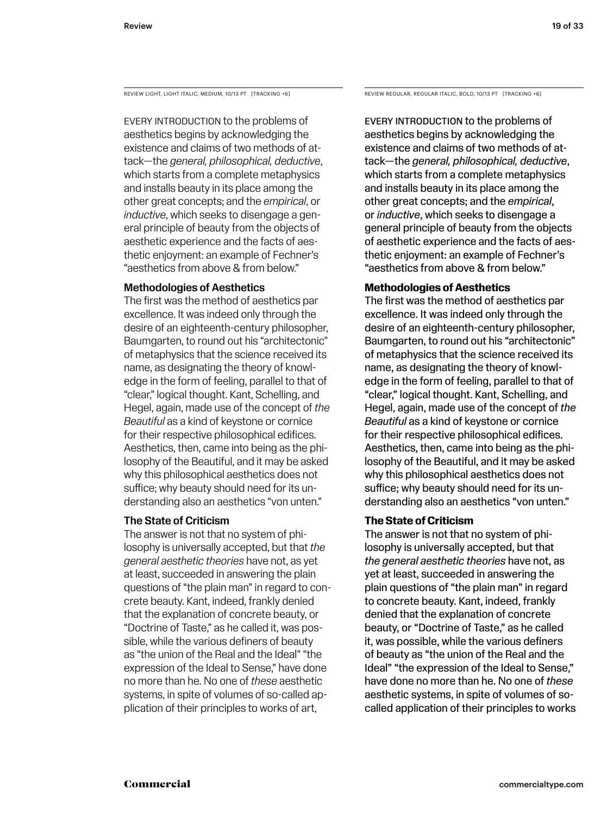Every introduction to the problems of aesthetics begins by acknowledging the existence and claims of two methods of attack—the *general, philosophical, deductive*, which starts from a complete metaphysics and installs beauty in its place among the other great concepts; and the *empirical*, or *inductive*, which seeks to disengage a general principle of beauty from the objects of aesthetic experience and the facts of aesthetic enjoyment: an example of Fechner's "aesthetics from above & from below."

#### Methodologies of Aesthetics

The first was the method of aesthetics par excellence. It was indeed only through the desire of an eighteenth-century philosopher, Baumgarten, to round out his "architectonic" of metaphysics that the science received its name, as designating the theory of knowledge in the form of feeling, parallel to that of "clear," logical thought. Kant, Schelling, and Hegel, again, made use of the concept of *the Beautiful* as a kind of keystone or cornice for their respective philosophical edifices. Aesthetics, then, came into being as the philosophy of the Beautiful, and it may be asked why this philosophical aesthetics does not suffice; why beauty should need for its understanding also an aesthetics "von unten."

#### The State of Criticism

The answer is not that no system of philosophy is universally accepted, but that *the general aesthetic theories* have not, as yet at least, succeeded in answering the plain questions of "the plain man" in regard to concrete beauty. Kant, indeed, frankly denied that the explanation of concrete beauty, or "Doctrine of Taste," as he called it, was possible, while the various definers of beauty as "the union of the Real and the Ideal" "the expression of the Ideal to Sense," have done no more than he. No one of *these* aesthetic systems, in spite of volumes of so-called application of their principles to works of art,

REVIEW LIGHT, LIGHT ITALIC, MEDIUM, 10/13 PT [TRACKING +6] REVIEW REGULAR, REGULAR ITALIC, BOLD, 10/13 PT [TRACKING +6]

Every introduction to the problems of aesthetics begins by acknowledging the existence and claims of two methods of attack—the *general, philosophical, deductive*, which starts from a complete metaphysics and installs beauty in its place among the other great concepts; and the *empirical*, or *inductive*, which seeks to disengage a general principle of beauty from the objects of aesthetic experience and the facts of aesthetic enjoyment: an example of Fechner's "aesthetics from above & from below."

#### **Methodologies of Aesthetics**

The first was the method of aesthetics par excellence. It was indeed only through the desire of an eighteenth-century philosopher, Baumgarten, to round out his "architectonic" of metaphysics that the science received its name, as designating the theory of knowledge in the form of feeling, parallel to that of "clear," logical thought. Kant, Schelling, and Hegel, again, made use of the concept of *the Beautiful* as a kind of keystone or cornice for their respective philosophical edifices. Aesthetics, then, came into being as the philosophy of the Beautiful, and it may be asked why this philosophical aesthetics does not suffice; why beauty should need for its understanding also an aesthetics "von unten."

#### **The State of Criticism**

The answer is not that no system of philosophy is universally accepted, but that *the general aesthetic theories* have not, as yet at least, succeeded in answering the plain questions of "the plain man" in regard to concrete beauty. Kant, indeed, frankly denied that the explanation of concrete beauty, or "Doctrine of Taste," as he called it, was possible, while the various definers of beauty as "the union of the Real and the Ideal" "the expression of the Ideal to Sense," have done no more than he. No one of *these* aesthetic systems, in spite of volumes of socalled application of their principles to works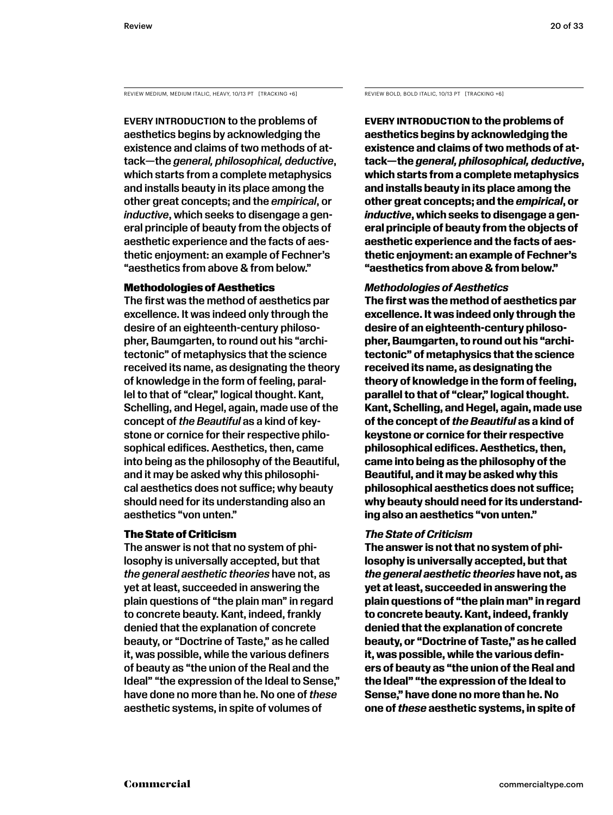REVIEW MEDIUM, MEDIUM ITALIC, HEAVY, 10/13 PT [TRACKING +6]

Every introduction to the problems of aesthetics begins by acknowledging the existence and claims of two methods of attack—the *general, philosophical, deductive*, which starts from a complete metaphysics and installs beauty in its place among the other great concepts; and the *empirical*, or *inductive*, which seeks to disengage a general principle of beauty from the objects of aesthetic experience and the facts of aesthetic enjoyment: an example of Fechner's "aesthetics from above & from below."

#### Methodologies of Aesthetics

The first was the method of aesthetics par excellence. It was indeed only through the desire of an eighteenth-century philosopher, Baumgarten, to round out his "architectonic" of metaphysics that the science received its name, as designating the theory of knowledge in the form of feeling, parallel to that of "clear," logical thought. Kant, Schelling, and Hegel, again, made use of the concept of *the Beautiful* as a kind of keystone or cornice for their respective philosophical edifices. Aesthetics, then, came into being as the philosophy of the Beautiful, and it may be asked why this philosophical aesthetics does not suffice; why beauty should need for its understanding also an aesthetics "von unten."

#### The State of Criticism

The answer is not that no system of philosophy is universally accepted, but that *the general aesthetic theories* have not, as yet at least, succeeded in answering the plain questions of "the plain man" in regard to concrete beauty. Kant, indeed, frankly denied that the explanation of concrete beauty, or "Doctrine of Taste," as he called it, was possible, while the various definers of beauty as "the union of the Real and the Ideal" "the expression of the Ideal to Sense," have done no more than he. No one of *these* aesthetic systems, in spite of volumes of

REVIEW BOLD, BOLD ITALIC, 10/13 PT [TRACKING +6]

**Every introduction to the problems of aesthetics begins by acknowledging the existence and claims of two methods of attack—the** *general, philosophical, deductive***, which starts from a complete metaphysics and installs beauty in its place among the other great concepts; and the** *empirical***, or**  *inductive***, which seeks to disengage a general principle of beauty from the objects of aesthetic experience and the facts of aesthetic enjoyment: an example of Fechner's "aesthetics from above & from below."** 

#### *Methodologies of Aesthetics*

**The first was the method of aesthetics par excellence. It was indeed only through the desire of an eighteenth-century philosopher, Baumgarten, to round out his "architectonic" of metaphysics that the science received its name, as designating the theory of knowledge in the form of feeling, parallel to that of "clear," logical thought. Kant, Schelling, and Hegel, again, made use of the concept of** *the Beautiful* **as a kind of keystone or cornice for their respective philosophical edifices. Aesthetics, then, came into being as the philosophy of the Beautiful, and it may be asked why this philosophical aesthetics does not suffice; why beauty should need for its understanding also an aesthetics "von unten."** 

#### *The State of Criticism*

**The answer is not that no system of philosophy is universally accepted, but that**  *the general aesthetic theories* **have not, as yet at least, succeeded in answering the plain questions of "the plain man" in regard to concrete beauty. Kant, indeed, frankly denied that the explanation of concrete beauty, or "Doctrine of Taste," as he called it, was possible, while the various definers of beauty as "the union of the Real and the Ideal" "the expression of the Ideal to Sense," have done no more than he. No one of** *these* **aesthetic systems, in spite of**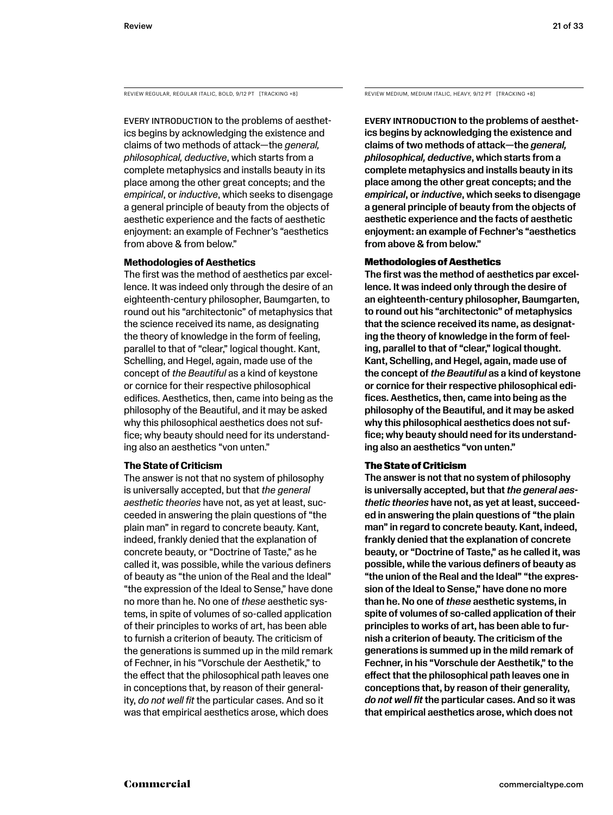REVIEW REGULAR, REGULAR ITALIC, BOLD, 9/12 PT [TRACKING +8] REVIEW MEDIUM, MEDIUM ITALIC, HEAVY, 9/12 PT [TRACKING +8]

Every introduction to the problems of aesthetics begins by acknowledging the existence and claims of two methods of attack—the *general, philosophical, deductive*, which starts from a complete metaphysics and installs beauty in its place among the other great concepts; and the *empirical*, or *inductive*, which seeks to disengage a general principle of beauty from the objects of aesthetic experience and the facts of aesthetic enjoyment: an example of Fechner's "aesthetics from above & from below."

#### **Methodologies of Aesthetics**

The first was the method of aesthetics par excellence. It was indeed only through the desire of an eighteenth-century philosopher, Baumgarten, to round out his "architectonic" of metaphysics that the science received its name, as designating the theory of knowledge in the form of feeling, parallel to that of "clear," logical thought. Kant, Schelling, and Hegel, again, made use of the concept of *the Beautiful* as a kind of keystone or cornice for their respective philosophical edifices. Aesthetics, then, came into being as the philosophy of the Beautiful, and it may be asked why this philosophical aesthetics does not suffice; why beauty should need for its understanding also an aesthetics "von unten."

#### **The State of Criticism**

The answer is not that no system of philosophy is universally accepted, but that *the general aesthetic theories* have not, as yet at least, succeeded in answering the plain questions of "the plain man" in regard to concrete beauty. Kant, indeed, frankly denied that the explanation of concrete beauty, or "Doctrine of Taste," as he called it, was possible, while the various definers of beauty as "the union of the Real and the Ideal" "the expression of the Ideal to Sense," have done no more than he. No one of *these* aesthetic systems, in spite of volumes of so-called application of their principles to works of art, has been able to furnish a criterion of beauty. The criticism of the generations is summed up in the mild remark of Fechner, in his "Vorschule der Aesthetik," to the effect that the philosophical path leaves one in conceptions that, by reason of their generality, *do not well fit* the particular cases. And so it was that empirical aesthetics arose, which does

Every introduction to the problems of aesthetics begins by acknowledging the existence and claims of two methods of attack—the *general, philosophical, deductive*, which starts from a complete metaphysics and installs beauty in its place among the other great concepts; and the *empirical*, or *inductive*, which seeks to disengage a general principle of beauty from the objects of aesthetic experience and the facts of aesthetic enjoyment: an example of Fechner's "aesthetics from above & from below."

#### Methodologies of Aesthetics

The first was the method of aesthetics par excellence. It was indeed only through the desire of an eighteenth-century philosopher, Baumgarten, to round out his "architectonic" of metaphysics that the science received its name, as designating the theory of knowledge in the form of feeling, parallel to that of "clear," logical thought. Kant, Schelling, and Hegel, again, made use of the concept of *the Beautiful* as a kind of keystone or cornice for their respective philosophical edifices. Aesthetics, then, came into being as the philosophy of the Beautiful, and it may be asked why this philosophical aesthetics does not suffice; why beauty should need for its understanding also an aesthetics "von unten."

#### The State of Criticism

The answer is not that no system of philosophy is universally accepted, but that *the general aesthetic theories* have not, as yet at least, succeeded in answering the plain questions of "the plain man" in regard to concrete beauty. Kant, indeed, frankly denied that the explanation of concrete beauty, or "Doctrine of Taste," as he called it, was possible, while the various definers of beauty as "the union of the Real and the Ideal" "the expression of the Ideal to Sense," have done no more than he. No one of *these* aesthetic systems, in spite of volumes of so-called application of their principles to works of art, has been able to furnish a criterion of beauty. The criticism of the generations is summed up in the mild remark of Fechner, in his "Vorschule der Aesthetik," to the effect that the philosophical path leaves one in conceptions that, by reason of their generality, *do not well fit* the particular cases. And so it was that empirical aesthetics arose, which does not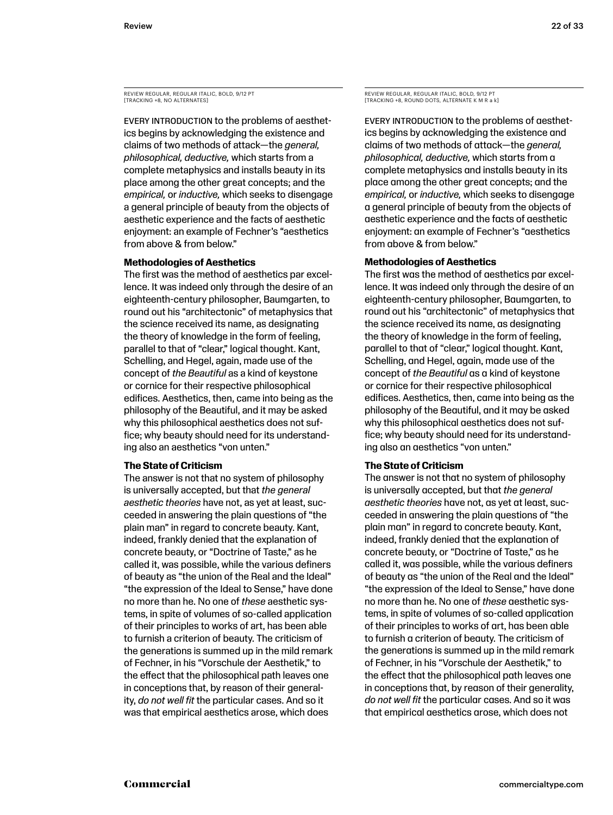REVIEW REGULAR, REGULAR ITALIC, BOLD, 9/12 PT [TRACKING +8, NO ALTERNATES]

Every introduction to the problems of aesthetics begins by acknowledging the existence and claims of two methods of attack—the *general, philosophical, deductive,* which starts from a complete metaphysics and installs beauty in its place among the other great concepts; and the *empirical,* or *inductive,* which seeks to disengage a general principle of beauty from the objects of aesthetic experience and the facts of aesthetic enjoyment: an example of Fechner's "aesthetics from above & from below."

#### **Methodologies of Aesthetics**

The first was the method of aesthetics par excellence. It was indeed only through the desire of an eighteenth-century philosopher, Baumgarten, to round out his "architectonic" of metaphysics that the science received its name, as designating the theory of knowledge in the form of feeling, parallel to that of "clear," logical thought. Kant, Schelling, and Hegel, again, made use of the concept of *the Beautiful* as a kind of keystone or cornice for their respective philosophical edifices. Aesthetics, then, came into being as the philosophy of the Beautiful, and it may be asked why this philosophical aesthetics does not suffice; why beauty should need for its understanding also an aesthetics "von unten."

#### **The State of Criticism**

The answer is not that no system of philosophy is universally accepted, but that *the general aesthetic theories* have not, as yet at least, succeeded in answering the plain questions of "the plain man" in regard to concrete beauty. Kant, indeed, frankly denied that the explanation of concrete beauty, or "Doctrine of Taste," as he called it, was possible, while the various definers of beauty as "the union of the Real and the Ideal" "the expression of the Ideal to Sense," have done no more than he. No one of *these* aesthetic systems, in spite of volumes of so-called application of their principles to works of art, has been able to furnish a criterion of beauty. The criticism of the generations is summed up in the mild remark of Fechner, in his "Vorschule der Aesthetik," to the effect that the philosophical path leaves one in conceptions that, by reason of their generality, *do not well fit* the particular cases. And so it was that empirical aesthetics arose, which does

REVIEW REGULAR, REGULAR ITALIC, BOLD, 9/12 PT [TRACKING +8, ROUND DOTS, ALTERNATE K M R a k]

Every introduction to the problems of aesthetics begins by acknowledging the existence and claims of two methods of attack—the *general, philosophical, deductive,* which starts from a complete metaphysics and installs beauty in its place among the other great concepts; and the *empirical,* or *inductive,* which seeks to disengage a general principle of beauty from the objects of aesthetic experience and the facts of aesthetic enjoyment: an example of Fechner's "aesthetics from above & from below."

#### **Methodologies of Aesthetics**

The first was the method of aesthetics par excellence. It was indeed only through the desire of an eighteenth-century philosopher, Baumgarten, to round out his "architectonic" of metaphysics that the science received its name, as designating the theory of knowledge in the form of feeling, parallel to that of "clear," logical thought. Kant, Schelling, and Hegel, again, made use of the concept of *the Beautiful* as a kind of keystone or cornice for their respective philosophical edifices. Aesthetics, then, came into being as the philosophy of the Beautiful, and it may be asked why this philosophical aesthetics does not suffice; why beauty should need for its understanding also an aesthetics "von unten."

#### **The State of Criticism**

The answer is not that no system of philosophy is universally accepted, but that *the general aesthetic theories* have not, as yet at least, succeeded in answering the plain questions of "the plain man" in regard to concrete beauty. Kant, indeed, frankly denied that the explanation of concrete beauty, or "Doctrine of Taste," as he called it, was possible, while the various definers of beauty as "the union of the Real and the Ideal" "the expression of the Ideal to Sense," have done no more than he. No one of *these* aesthetic systems, in spite of volumes of so-called application of their principles to works of art, has been able to furnish a criterion of beauty. The criticism of the generations is summed up in the mild remark of Fechner, in his "Vorschule der Aesthetik," to the effect that the philosophical path leaves one in conceptions that, by reason of their generality, *do not well fit* the particular cases. And so it was that empirical aesthetics arose, which does not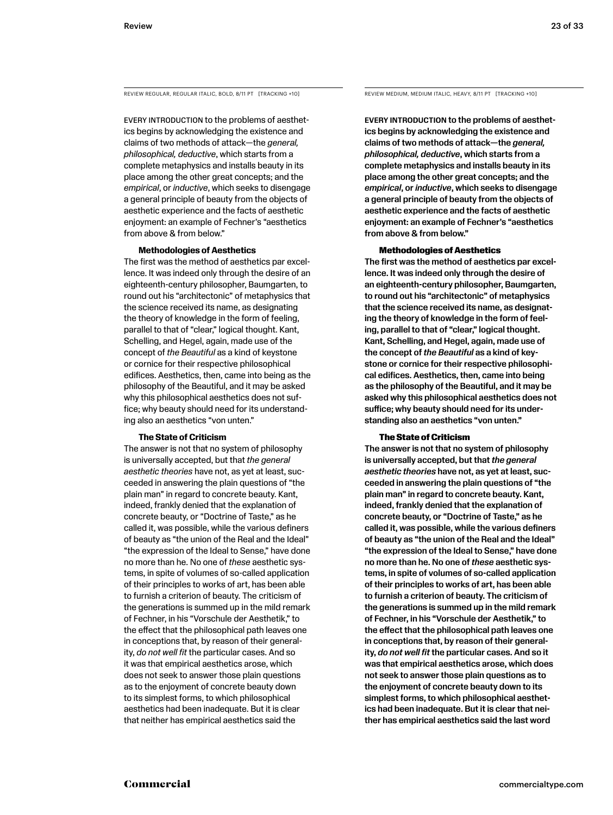REVIEW REGULAR, REGULAR ITALIC, BOLD, 8/11 PT [TRACKING +10] REVIEW MEDIUM, MEDIUM ITALIC, HEAVY, 8/11 PT [TRACKING +10]

EVERY INTRODUCTION to the problems of aesthetics begins by acknowledging the existence and claims of two methods of attack—the *general, philosophical, deductive*, which starts from a complete metaphysics and installs beauty in its place among the other great concepts; and the *empirical*, or *inductive*, which seeks to disengage a general principle of beauty from the objects of aesthetic experience and the facts of aesthetic enjoyment: an example of Fechner's "aesthetics from above & from below."

#### **Methodologies of Aesthetics**

The first was the method of aesthetics par excellence. It was indeed only through the desire of an eighteenth-century philosopher, Baumgarten, to round out his "architectonic" of metaphysics that the science received its name, as designating the theory of knowledge in the form of feeling, parallel to that of "clear," logical thought. Kant, Schelling, and Hegel, again, made use of the concept of *the Beautiful* as a kind of keystone or cornice for their respective philosophical edifices. Aesthetics, then, came into being as the philosophy of the Beautiful, and it may be asked why this philosophical aesthetics does not suffice; why beauty should need for its understanding also an aesthetics "von unten."

#### **The State of Criticism**

The answer is not that no system of philosophy is universally accepted, but that *the general aesthetic theories* have not, as yet at least, succeeded in answering the plain questions of "the plain man" in regard to concrete beauty. Kant, indeed, frankly denied that the explanation of concrete beauty, or "Doctrine of Taste," as he called it, was possible, while the various definers of beauty as "the union of the Real and the Ideal" "the expression of the Ideal to Sense," have done no more than he. No one of *these* aesthetic systems, in spite of volumes of so-called application of their principles to works of art, has been able to furnish a criterion of beauty. The criticism of the generations is summed up in the mild remark of Fechner, in his "Vorschule der Aesthetik," to the effect that the philosophical path leaves one in conceptions that, by reason of their generality, *do not well fit* the particular cases. And so it was that empirical aesthetics arose, which does not seek to answer those plain questions as to the enjoyment of concrete beauty down to its simplest forms, to which philosophical aesthetics had been inadequate. But it is clear that neither has empirical aesthetics said the

Every introduction to the problems of aesthetics begins by acknowledging the existence and claims of two methods of attack—the *general, philosophical, deductive*, which starts from a complete metaphysics and installs beauty in its place among the other great concepts; and the *empirical*, or *inductive*, which seeks to disengage a general principle of beauty from the objects of aesthetic experience and the facts of aesthetic enjoyment: an example of Fechner's "aesthetics from above & from below."

#### Methodologies of Aesthetics

The first was the method of aesthetics par excellence. It was indeed only through the desire of an eighteenth-century philosopher, Baumgarten, to round out his "architectonic" of metaphysics that the science received its name, as designating the theory of knowledge in the form of feeling, parallel to that of "clear," logical thought. Kant, Schelling, and Hegel, again, made use of the concept of *the Beautiful* as a kind of keystone or cornice for their respective philosophical edifices. Aesthetics, then, came into being as the philosophy of the Beautiful, and it may be asked why this philosophical aesthetics does not suffice; why beauty should need for its understanding also an aesthetics "von unten."

#### The State of Criticism

The answer is not that no system of philosophy is universally accepted, but that *the general aesthetic theories* have not, as yet at least, succeeded in answering the plain questions of "the plain man" in regard to concrete beauty. Kant, indeed, frankly denied that the explanation of concrete beauty, or "Doctrine of Taste," as he called it, was possible, while the various definers of beauty as "the union of the Real and the Ideal" "the expression of the Ideal to Sense," have done no more than he. No one of *these* aesthetic systems, in spite of volumes of so-called application of their principles to works of art, has been able to furnish a criterion of beauty. The criticism of the generations is summed up in the mild remark of Fechner, in his "Vorschule der Aesthetik," to the effect that the philosophical path leaves one in conceptions that, by reason of their generality, *do not well fit* the particular cases. And so it was that empirical aesthetics arose, which does not seek to answer those plain questions as to the enjoyment of concrete beauty down to its simplest forms, to which philosophical aesthetics had been inadequate. But it is clear that neither has empirical aesthetics said the last word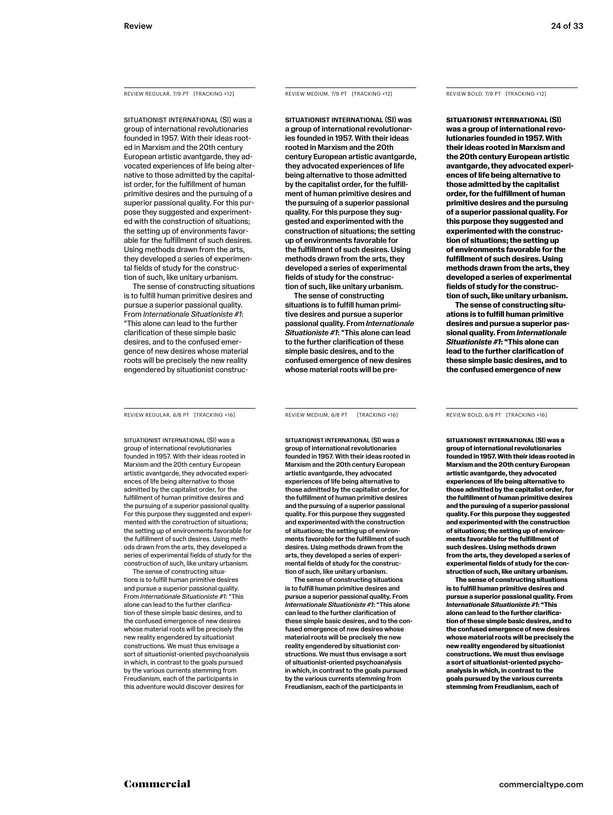REVIEW REGULAR, 7/9 PT [TRACKING +12]

SITUATIONIST INTERNATIONAL (SI) was a group of international revolutionaries founded in 1957. With their ideas rooted in Marxism and the 20th century European artistic avantgarde, they advocated experiences of life being alternative to those admitted by the capitalist order, for the fulfillment of human primitive desires and the pursuing of a superior passional quality. For this purpose they suggested and experimented with the construction of situations; the setting up of environments favorable for the fulfillment of such desires. Using methods drawn from the arts, they developed a series of experimental fields of study for the construction of such, like unitary urbanism.

The sense of constructing situations is to fulfill human primitive desires and pursue a superior passional quality. From *Internationale Situationiste #1*: "This alone can lead to the further clarification of these simple basic desires, and to the confused emergence of new desires whose material roots will be precisely the new reality engendered by situationist construc-

REVIEW REGULAR, 6/8 PT [TRACKING +16]

SITUATIONIST INTERNATIONAL (SI) was a group of international revolutionaries founded in 1957. With their ideas rooted in Marxism and the 20th century European artistic avantgarde, they advocated experiences of life being alternative to those admitted by the capitalist order, for the fulfillment of human primitive desires and the pursuing of a superior passional quality. For this purpose they suggested and experimented with the construction of situations; the setting up of environments favorable for the fulfillment of such desires. Using methods drawn from the arts, they developed a series of experimental fields of study for the construction of such, like unitary urbanism.

The sense of constructing situations is to fulfill human primitive desires and pursue a superior passional quality. From *Internationale Situationiste #1*: "This alone can lead to the further clarification of these simple basic desires, and to the confused emergence of new desires whose material roots will be precisely the new reality engendered by situationist constructions. We must thus envisage a sort of situationist-oriented psychoanalysis in which, in contrast to the goals pursued by the various currents stemming from Freudianism, each of the participants in this adventure would discover desires for

REVIEW MEDIUM, 7/9 PT [TRACKING +12]

SITUATIONIST INTERNATIONAL (SI) was a group of international revolutionaries founded in 1957. With their ideas rooted in Marxism and the 20th century European artistic avantgarde, they advocated experiences of life being alternative to those admitted by the capitalist order, for the fulfillment of human primitive desires and the pursuing of a superior passional quality. For this purpose they suggested and experimented with the construction of situations; the setting up of environments favorable for the fulfillment of such desires. Using methods drawn from the arts, they developed a series of experimental fields of study for the construction of such, like unitary urbanism.

The sense of constructing situations is to fulfill human primitive desires and pursue a superior passional quality. From *Internationale Situationiste #1*: "This alone can lead to the further clarification of these simple basic desires, and to the confused emergence of new desires whose material roots will be pre-

REVIEW MEDIUM, 6/8 PT [TRACKING +16]

SITUATIONIST INTERNATIONAL (SI) was a group of international revolutionaries founded in 1957. With their ideas rooted in Marxism and the 20th century European artistic avantgarde, they advocated experiences of life being alternative to those admitted by the capitalist order, for the fulfillment of human primitive desires and the pursuing of a superior passional quality. For this purpose they suggested and experimented with the construction of situations; the setting up of environments favorable for the fulfillment of such desires. Using methods drawn from the arts, they developed a series of experimental fields of study for the construction of such, like unitary urbanism.

The sense of constructing situations is to fulfill human primitive desires and pursue a superior passional quality. From *Internationale Situationiste #1*: "This alone can lead to the further clarification of these simple basic desires, and to the confused emergence of new desires whose material roots will be precisely the new reality engendered by situationist constructions. We must thus envisage a sort of situationist-oriented psychoanalysis in which, in contrast to the goals pursued by the various currents stemming from Freudianism, each of the participants in

REVIEW BOLD, 7/9 PT [TRACKING +12]

**SITUATIONIST INTERNATIONAL (SI) was a group of international revolutionaries founded in 1957. With their ideas rooted in Marxism and the 20th century European artistic avantgarde, they advocated experiences of life being alternative to those admitted by the capitalist order, for the fulfillment of human primitive desires and the pursuing of a superior passional quality. For this purpose they suggested and experimented with the construction of situations; the setting up of environments favorable for the fulfillment of such desires. Using methods drawn from the arts, they developed a series of experimental fields of study for the construction of such, like unitary urbanism.**

**The sense of constructing situations is to fulfill human primitive desires and pursue a superior passional quality. From** *Internationale Situationiste #1***: "This alone can lead to the further clarification of these simple basic desires, and to the confused emergence of new** 

REVIEW BOLD, 6/8 PT [TRACKING +16]

**SITUATIONIST INTERNATIONAL (SI) was a group of international revolutionaries founded in 1957. With their ideas rooted in Marxism and the 20th century European artistic avantgarde, they advocated experiences of life being alternative to those admitted by the capitalist order, for the fulfillment of human primitive desires and the pursuing of a superior passional quality. For this purpose they suggested and experimented with the construction of situations; the setting up of environments favorable for the fulfillment of such desires. Using methods drawn from the arts, they developed a series of experimental fields of study for the construction of such, like unitary urbanism.**

**The sense of constructing situations is to fulfill human primitive desires and pursue a superior passional quality. From**  *Internationale Situationiste #1***: "This alone can lead to the further clarification of these simple basic desires, and to the confused emergence of new desires whose material roots will be precisely the new reality engendered by situationist constructions. We must thus envisage a sort of situationist-oriented psychoanalysis in which, in contrast to the goals pursued by the various currents stemming from Freudianism, each of**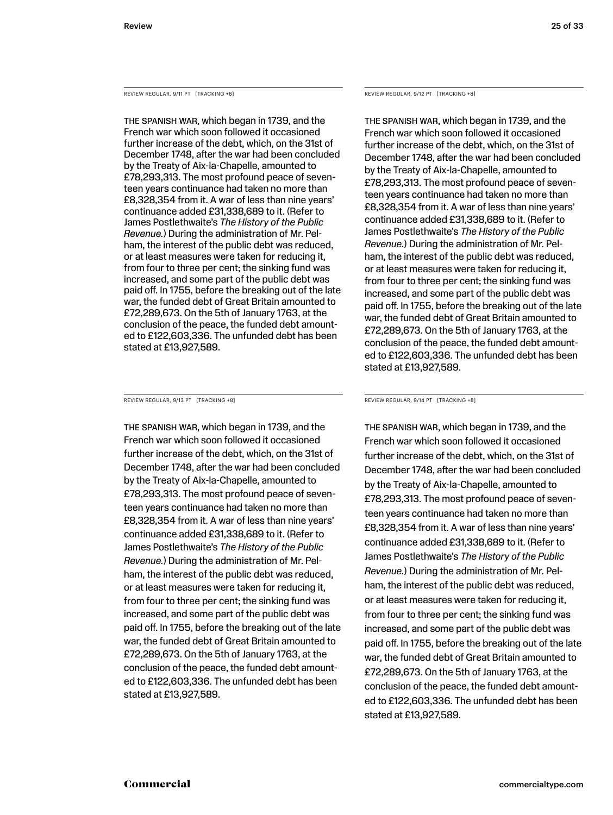REVIEW REGULAR, 9/11 PT [TRACKING +8]

The Spanish War, which began in 1739, and the French war which soon followed it occasioned further increase of the debt, which, on the 31st of December 1748, after the war had been concluded by the Treaty of Aix-la-Chapelle, amounted to £78,293,313. The most profound peace of seventeen years continuance had taken no more than £8,328,354 from it. A war of less than nine years' continuance added £31,338,689 to it. (Refer to James Postlethwaite's *The History of the Public Revenue.*) During the administration of Mr. Pelham, the interest of the public debt was reduced, or at least measures were taken for reducing it, from four to three per cent; the sinking fund was increased, and some part of the public debt was paid off. In 1755, before the breaking out of the late war, the funded debt of Great Britain amounted to £72,289,673. On the 5th of January 1763, at the conclusion of the peace, the funded debt amounted to £122,603,336. The unfunded debt has been stated at £13,927,589.

REVIEW REGULAR, 9/13 PT [TRACKING +8]

The Spanish War, which began in 1739, and the French war which soon followed it occasioned further increase of the debt, which, on the 31st of December 1748, after the war had been concluded by the Treaty of Aix-la-Chapelle, amounted to £78,293,313. The most profound peace of seventeen years continuance had taken no more than £8,328,354 from it. A war of less than nine years' continuance added £31,338,689 to it. (Refer to James Postlethwaite's *The History of the Public Revenue.*) During the administration of Mr. Pelham, the interest of the public debt was reduced, or at least measures were taken for reducing it, from four to three per cent; the sinking fund was increased, and some part of the public debt was paid off. In 1755, before the breaking out of the late war, the funded debt of Great Britain amounted to £72,289,673. On the 5th of January 1763, at the conclusion of the peace, the funded debt amounted to £122,603,336. The unfunded debt has been stated at £13,927,589.

REVIEW REGULAR, 9/12 PT [TRACKING +8]

The Spanish War, which began in 1739, and the French war which soon followed it occasioned further increase of the debt, which, on the 31st of December 1748, after the war had been concluded by the Treaty of Aix-la-Chapelle, amounted to £78,293,313. The most profound peace of seventeen years continuance had taken no more than £8,328,354 from it. A war of less than nine years' continuance added £31,338,689 to it. (Refer to James Postlethwaite's *The History of the Public Revenue.*) During the administration of Mr. Pelham, the interest of the public debt was reduced, or at least measures were taken for reducing it, from four to three per cent; the sinking fund was increased, and some part of the public debt was paid off. In 1755, before the breaking out of the late war, the funded debt of Great Britain amounted to £72,289,673. On the 5th of January 1763, at the conclusion of the peace, the funded debt amounted to £122,603,336. The unfunded debt has been stated at £13,927,589.

REVIEW REGULAR, 9/14 PT [TRACKING +8]

The Spanish War, which began in 1739, and the French war which soon followed it occasioned further increase of the debt, which, on the 31st of December 1748, after the war had been concluded by the Treaty of Aix-la-Chapelle, amounted to £78,293,313. The most profound peace of seventeen years continuance had taken no more than £8,328,354 from it. A war of less than nine years' continuance added £31,338,689 to it. (Refer to James Postlethwaite's *The History of the Public Revenue.*) During the administration of Mr. Pelham, the interest of the public debt was reduced, or at least measures were taken for reducing it, from four to three per cent; the sinking fund was increased, and some part of the public debt was paid off. In 1755, before the breaking out of the late war, the funded debt of Great Britain amounted to £72,289,673. On the 5th of January 1763, at the conclusion of the peace, the funded debt amounted to £122,603,336. The unfunded debt has been stated at £13,927,589.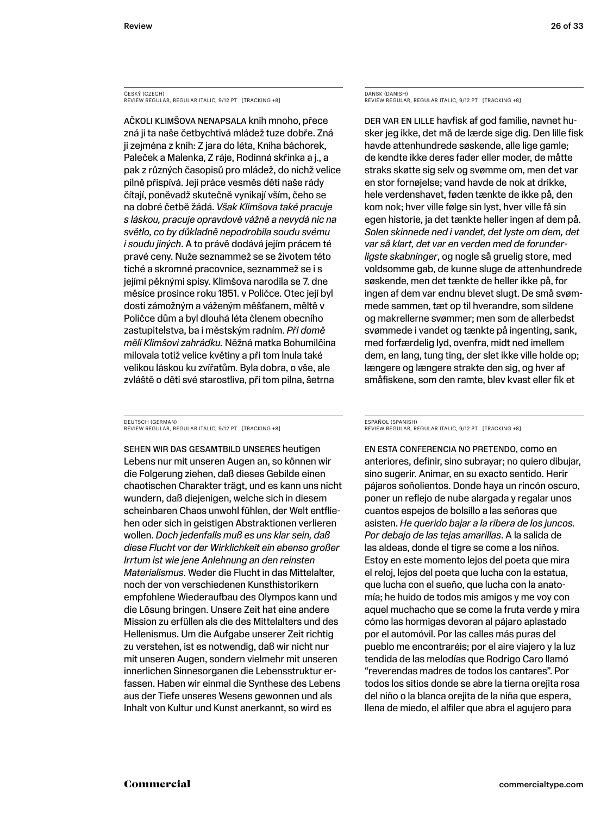ČESKÝ (CZECH) REVIEW REGULAR, REGULAR ITALIC, 9/12 PT [TRACKING +8]

Ačkoli klimšova nenapsala knih mnoho, přece zná ji ta naše četbychtivá mládež tuze dobře. Zná ji zejména z knih: Z jara do léta, Kniha báchorek, Paleček a Malenka, Z ráje, Rodinná skřínka a j., a pak z různých časopisů pro mládež, do nichž velice pilně přispívá. Její práce vesměs děti naše rády čítají, poněvadž skutečně vynikají vším, čeho se na dobré četbě žádá. *Však Klimšova také pracuje s láskou, pracuje opravdově vážně a nevydá nic na světlo, co by důkladně nepodrobila soudu svému i soudu jiných*. A to právě dodává jejím prácem té pravé ceny. Nuže seznammež se se životem této tiché a skromné pracovnice, seznammež se i s jejími pěknými spisy. Klimšova narodila se 7. dne měsíce prosince roku 1851. v Poličce. Otec její byl dosti zámožným a váženým měšťanem, měltě v Poličce dům a byl dlouhá léta členem obecního zastupitelstva, ba i městským radním. *Při domě měli Klimšovi zahrádku.* Něžná matka Bohumilčina milovala totiž velice květiny a při tom lnula také velikou láskou ku zvířatům. Byla dobra, o vše, ale zvláště o děti své starostliva, při tom pilna, šetrna

DEUTSCH (GERMAN) REVIEW REGULAR, REGULAR ITALIC, 9/12 PT [TRACKING +8]

Sehen wir das Gesamtbild unseres heutigen Lebens nur mit unseren Augen an, so können wir die Folgerung ziehen, daß dieses Gebilde einen chaotischen Charakter trägt, und es kann uns nicht wundern, daß diejenigen, welche sich in diesem scheinbaren Chaos unwohl fühlen, der Welt entfliehen oder sich in geistigen Abstraktionen verlieren wollen. *Doch jedenfalls muß es uns klar sein, daß diese Flucht vor der Wirklichkeit ein ebenso großer Irrtum ist wie jene Anlehnung an den reinsten Materialismus*. Weder die Flucht in das Mittelalter, noch der von verschiedenen Kunsthistorikern empfohlene Wiederaufbau des Olympos kann und die Lösung bringen. Unsere Zeit hat eine andere Mission zu erfüllen als die des Mittelalters und des Hellenismus. Um die Aufgabe unserer Zeit richtig zu verstehen, ist es notwendig, daß wir nicht nur mit unseren Augen, sondern vielmehr mit unseren innerlichen Sinnesorganen die Lebensstruktur erfassen. Haben wir einmal die Synthese des Lebens aus der Tiefe unseres Wesens gewonnen und als Inhalt von Kultur und Kunst anerkannt, so wird es

DANSK (DANISH) REVIEW REGULAR, REGULAR ITALIC, 9/12 PT [TRACKING +8]

Der var en lille havfisk af god familie, navnet husker jeg ikke, det må de lærde sige dig. Den lille fisk havde attenhundrede søskende, alle lige gamle; de kendte ikke deres fader eller moder, de måtte straks skøtte sig selv og svømme om, men det var en stor fornøjelse; vand havde de nok at drikke, hele verdenshavet, føden tænkte de ikke på, den kom nok; hver ville følge sin lyst, hver ville få sin egen historie, ja det tænkte heller ingen af dem på. *Solen skinnede ned i vandet, det lyste om dem, det var så klart, det var en verden med de forunderligste skabninger*, og nogle så gruelig store, med voldsomme gab, de kunne sluge de attenhundrede søskende, men det tænkte de heller ikke på, for ingen af dem var endnu blevet slugt. De små svømmede sammen, tæt op til hverandre, som sildene og makrellerne svømmer; men som de allerbedst svømmede i vandet og tænkte på ingenting, sank, med forfærdelig lyd, ovenfra, midt ned imellem dem, en lang, tung ting, der slet ikke ville holde op; længere og længere strakte den sig, og hver af småfiskene, som den ramte, blev kvast eller fik et

#### ESPAÑOL (SPANISH) REVIEW REGULAR, REGULAR ITALIC, 9/12 PT [TRACKING +8]

En esta conferencia no pretendo, como en anteriores, definir, sino subrayar; no quiero dibujar, sino sugerir. Animar, en su exacto sentido. Herir pájaros soñolientos. Donde haya un rincón oscuro, poner un reflejo de nube alargada y regalar unos cuantos espejos de bolsillo a las señoras que asisten. *He querido bajar a la ribera de los juncos. Por debajo de las tejas amarillas*. A la salida de las aldeas, donde el tigre se come a los niños. Estoy en este momento lejos del poeta que mira el reloj, lejos del poeta que lucha con la estatua, que lucha con el sueño, que lucha con la anatomía; he huido de todos mis amigos y me voy con aquel muchacho que se come la fruta verde y mira cómo las hormigas devoran al pájaro aplastado por el automóvil. Por las calles más puras del pueblo me encontraréis; por el aire viajero y la luz tendida de las melodías que Rodrigo Caro llamó "reverendas madres de todos los cantares". Por todos los sitios donde se abre la tierna orejita rosa del niño o la blanca orejita de la niña que espera, llena de miedo, el alfiler que abra el agujero para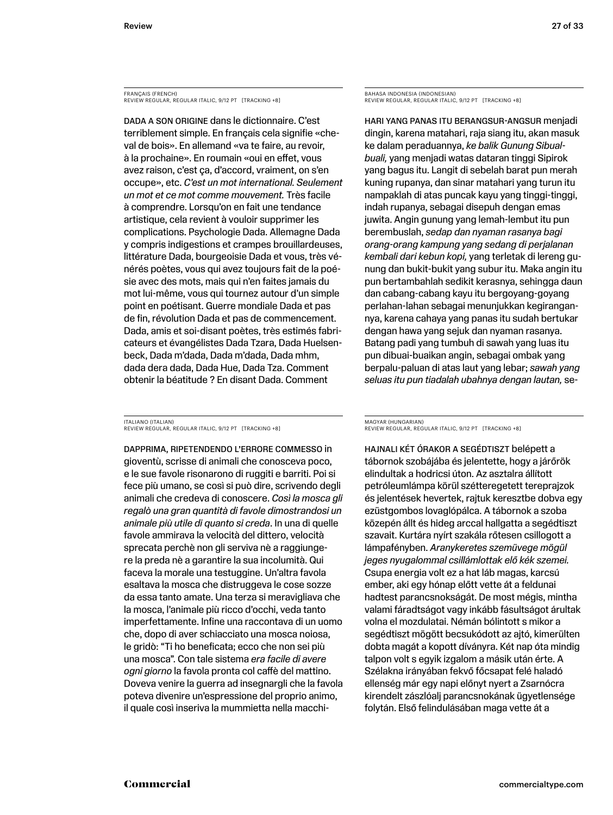FRANÇAIS (FRENCH) REVIEW REGULAR, REGULAR ITALIC, 9/12 PT [TRACKING +8]

DADA A SON ORIGINE dans le dictionnaire. C'est terriblement simple. En français cela signifie «cheval de bois». En allemand «va te faire, au revoir, à la prochaine». En roumain «oui en effet, vous avez raison, c'est ça, d'accord, vraiment, on s'en occupe», etc. *C'est un mot international. Seulement un mot et ce mot comme mouvement.* Très facile à comprendre. Lorsqu'on en fait une tendance artistique, cela revient à vouloir supprimer les complications. Psychologie Dada. Allemagne Dada y compris indigestions et crampes brouillardeuses, littérature Dada, bourgeoisie Dada et vous, très vénérés poètes, vous qui avez toujours fait de la poésie avec des mots, mais qui n'en faites jamais du mot lui-même, vous qui tournez autour d'un simple point en poétisant. Guerre mondiale Dada et pas de fin, révolution Dada et pas de commencement. Dada, amis et soi-disant poètes, très estimés fabricateurs et évangélistes Dada Tzara, Dada Huelsenbeck, Dada m'dada, Dada m'dada, Dada mhm, dada dera dada, Dada Hue, Dada Tza. Comment obtenir la béatitude ? En disant Dada. Comment

ITALIANO (ITALIAN) REVIEW REGULAR, REGULAR ITALIC, 9/12 PT [TRACKING +8]

Dapprima, ripetendendo l'errore commesso in gioventù, scrisse di animali che conosceva poco, e le sue favole risonarono di ruggiti e barriti. Poi si fece più umano, se così si può dire, scrivendo degli animali che credeva di conoscere. *Così la mosca gli regalò una gran quantità di favole dimostrandosi un animale più utile di quanto si creda*. In una di quelle favole ammirava la velocità del dittero, velocità sprecata perchè non gli serviva nè a raggiungere la preda nè a garantire la sua incolumità. Qui faceva la morale una testuggine. Un'altra favola esaltava la mosca che distruggeva le cose sozze da essa tanto amate. Una terza si meravigliava che la mosca, l'animale più ricco d'occhi, veda tanto imperfettamente. Infine una raccontava di un uomo che, dopo di aver schiacciato una mosca noiosa, le gridò: "Ti ho beneficata; ecco che non sei più una mosca". Con tale sistema *era facile di avere ogni giorno* la favola pronta col caffè del mattino. Doveva venire la guerra ad insegnargli che la favola poteva divenire un'espressione del proprio animo, il quale così inseriva la mummietta nella macchiBAHASA INDONESIA (INDONESIAN) REVIEW REGULAR, REGULAR ITALIC, 9/12 PT [TRACKING +8]

Hari yang panas itu berangsur-angsur menjadi dingin, karena matahari, raja siang itu, akan masuk ke dalam peraduannya, *ke balik Gunung Sibualbuali,* yang menjadi watas dataran tinggi Sipirok yang bagus itu. Langit di sebelah barat pun merah kuning rupanya, dan sinar matahari yang turun itu nampaklah di atas puncak kayu yang tinggi-tinggi, indah rupanya, sebagai disepuh dengan emas juwita. Angin gunung yang lemah-lembut itu pun berembuslah, *sedap dan nyaman rasanya bagi orang-orang kampung yang sedang di perjalanan kembali dari kebun kopi,* yang terletak di lereng gunung dan bukit-bukit yang subur itu. Maka angin itu pun bertambahlah sedikit kerasnya, sehingga daun dan cabang-cabang kayu itu bergoyang-goyang perlahan-lahan sebagai menunjukkan kegirangannya, karena cahaya yang panas itu sudah bertukar dengan hawa yang sejuk dan nyaman rasanya. Batang padi yang tumbuh di sawah yang luas itu pun dibuai-buaikan angin, sebagai ombak yang berpalu-paluan di atas laut yang lebar; *sawah yang seluas itu pun tiadalah ubahnya dengan lautan,* se-

MAGYAR (HUNGARIAN) REVIEW REGULAR, REGULAR ITALIC, 9/12 PT [TRACKING +8]

Hajnali két órakor a segédtiszt belépett a tábornok szobájába és jelentette, hogy a járőrök elindultak a hodricsi úton. Az asztalra állított petróleumlámpa körül szétteregetett tereprajzok és jelentések hevertek, rajtuk keresztbe dobva egy ezüstgombos lovaglópálca. A tábornok a szoba közepén állt és hideg arccal hallgatta a segédtiszt szavait. Kurtára nyírt szakála rőtesen csillogott a lámpafényben. *Aranykeretes szemüvege mögül jeges nyugalommal csillámlottak elő kék szemei.* Csupa energia volt ez a hat láb magas, karcsú ember, aki egy hónap előtt vette át a feldunai hadtest parancsnokságát. De most mégis, mintha valami fáradtságot vagy inkább fásultságot árultak volna el mozdulatai. Némán bólintott s mikor a segédtiszt mögött becsukódott az ajtó, kimerülten dobta magát a kopott díványra. Két nap óta mindig talpon volt s egyik izgalom a másik után érte. A Szélakna irányában fekvő főcsapat felé haladó ellenség már egy napi előnyt nyert a Zsarnócra kirendelt zászlóalj parancsnokának ügyetlensége folytán. Első felindulásában maga vette át a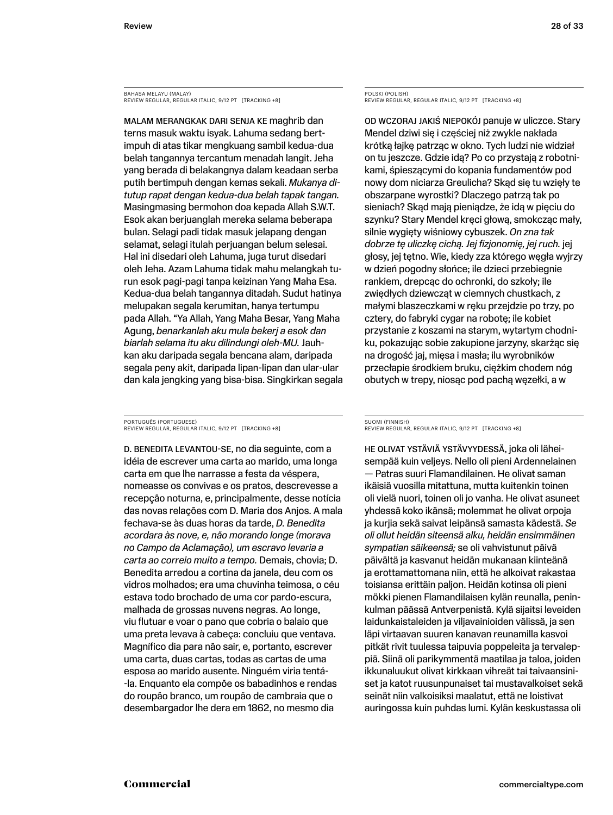BAHASA MELAYU (MALAY) BRITHOR MEERTO (MAERT)<br>REVIEW REGULAR, REGULAR ITALIC, 9/12 PT [TRACKING +8]

Malam merangkak dari senja ke maghrib dan terns masuk waktu isyak. Lahuma sedang bertimpuh di atas tikar mengkuang sambil kedua-dua belah tangannya tercantum menadah langit. Jeha yang berada di belakangnya dalam keadaan serba putih bertimpuh dengan kemas sekali. *Mukanya ditutup rapat dengan kedua-dua belah tapak tangan.* Masingmasing bermohon doa kepada Allah S.W.T. Esok akan berjuanglah mereka selama beberapa bulan. Selagi padi tidak masuk jelapang dengan selamat, selagi itulah perjuangan belum selesai. Hal ini disedari oleh Lahuma, juga turut disedari oleh Jeha. Azam Lahuma tidak mahu melangkah turun esok pagi-pagi tanpa keizinan Yang Maha Esa. Kedua-dua belah tangannya ditadah. Sudut hatinya melupakan segala kerumitan, hanya tertumpu pada Allah. "Ya Allah, Yang Maha Besar, Yang Maha Agung, *benarkanlah aku mula bekerj a esok dan biarlah selama itu aku dilindungi oleh-MU.* Jauhkan aku daripada segala bencana alam, daripada segala peny akit, daripada lipan-lipan dan ular-ular dan kala jengking yang bisa-bisa. Singkirkan segala

PORTUGUÊS (PORTUGUESE) REVIEW REGULAR, REGULAR ITALIC, 9/12 PT [TRACKING +8]

D. Benedita levantou-se, no dia seguinte, com a idéia de escrever uma carta ao marido, uma longa carta em que lhe narrasse a festa da véspera, nomeasse os convivas e os pratos, descrevesse a recepção noturna, e, principalmente, desse notícia das novas relações com D. Maria dos Anjos. A mala fechava-se às duas horas da tarde, *D. Benedita acordara às nove, e, não morando longe (morava no Campo da Aclamação), um escravo levaria a carta ao correio muito a tempo.* Demais, chovia; D. Benedita arredou a cortina da janela, deu com os vidros molhados; era uma chuvinha teimosa, o céu estava todo brochado de uma cor pardo-escura, malhada de grossas nuvens negras. Ao longe, viu flutuar e voar o pano que cobria o balaio que uma preta levava à cabeça: concluiu que ventava. Magnífico dia para não sair, e, portanto, escrever uma carta, duas cartas, todas as cartas de uma esposa ao marido ausente. Ninguém viria tentá- -la. Enquanto ela compõe os babadinhos e rendas do roupão branco, um roupão de cambraia que o desembargador lhe dera em 1862, no mesmo dia

POLSKI (POLISH) REVIEW REGULAR, REGULAR ITALIC, 9/12 PT [TRACKING +8]

Od wczoraj jakiś niepokój panuje w uliczce. Stary Mendel dziwi się i częściej niż zwykle nakłada krótką łajkę patrząc w okno. Tych ludzi nie widział on tu jeszcze. Gdzie idą? Po co przystają z robotnikami, śpieszącymi do kopania fundamentów pod nowy dom niciarza Greulicha? Skąd się tu wzięły te obszarpane wyrostki? Dlaczego patrzą tak po sieniach? Skąd mają pieniądze, że idą w pięciu do szynku? Stary Mendel kręci głową, smokcząc mały, silnie wygięty wiśniowy cybuszek. *On zna tak dobrze tę uliczkę cichą. Jej fizjonomię, jej ruch.* jej głosy, jej tętno. Wie, kiedy zza którego węgła wyjrzy w dzień pogodny słońce; ile dzieci przebiegnie rankiem, drepcąc do ochronki, do szkoły; ile zwiędłych dziewcząt w ciemnych chustkach, z małymi blaszeczkami w ręku przejdzie po trzy, po cztery, do fabryki cygar na robotę; ile kobiet przystanie z koszami na starym, wytartym chodniku, pokazując sobie zakupione jarzyny, skarżąc się na drogość jaj, mięsa i masła; ilu wyrobników przecłapie środkiem bruku, ciężkim chodem nóg obutych w trepy, niosąc pod pachą węzełki, a w

#### SUOMI (FINNISH) REVIEW REGULAR, REGULAR ITALIC, 9/12 PT [TRACKING +8]

He olivat ystäviä ystävyydessä, joka oli läheisempää kuin veljeys. Nello oli pieni Ardennelainen — Patras suuri Flamandilainen. He olivat saman ikäisiä vuosilla mitattuna, mutta kuitenkin toinen oli vielä nuori, toinen oli jo vanha. He olivat asuneet yhdessä koko ikänsä; molemmat he olivat orpoja ja kurjia sekä saivat leipänsä samasta kädestä. *Se oli ollut heidän siteensä alku, heidän ensimmäinen sympatian säikeensä;* se oli vahvistunut päivä päivältä ja kasvanut heidän mukanaan kiinteänä ja erottamattomana niin, että he alkoivat rakastaa toisiansa erittäin paljon. Heidän kotinsa oli pieni mökki pienen Flamandilaisen kylän reunalla, peninkulman päässä Antverpenistä. Kylä sijaitsi leveiden laidunkaistaleiden ja viljavainioiden välissä, ja sen läpi virtaavan suuren kanavan reunamilla kasvoi pitkät rivit tuulessa taipuvia poppeleita ja tervaleppiä. Siinä oli parikymmentä maatilaa ja taloa, joiden ikkunaluukut olivat kirkkaan vihreät tai taivaansiniset ja katot ruusunpunaiset tai mustavalkoiset sekä seinät niin valkoisiksi maalatut, että ne loistivat auringossa kuin puhdas lumi. Kylän keskustassa oli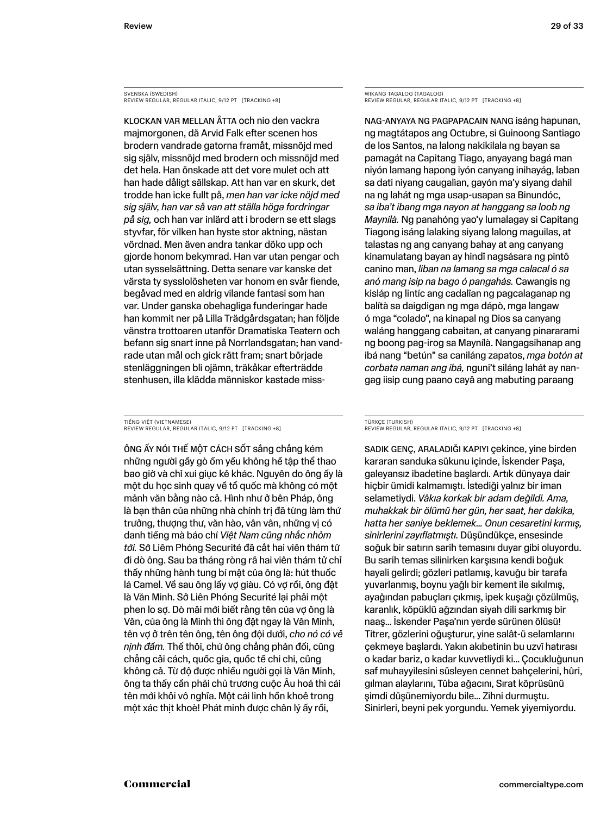SVENSKA (SWEDISH) REVIEW REGULAR, REGULAR ITALIC, 9/12 PT [TRACKING +8]

Klockan var mellan åtta och nio den vackra majmorgonen, då Arvid Falk efter scenen hos brodern vandrade gatorna framåt, missnöjd med sig själv, missnöjd med brodern och missnöjd med det hela. Han önskade att det vore mulet och att han hade dåligt sällskap. Att han var en skurk, det trodde han icke fullt på, *men han var icke nöjd med sig själv, han var så van att ställa höga fordringar på sig,* och han var inlärd att i brodern se ett slags styvfar, för vilken han hyste stor aktning, nästan vördnad. Men även andra tankar döko upp och gjorde honom bekymrad. Han var utan pengar och utan sysselsättning. Detta senare var kanske det värsta ty sysslolösheten var honom en svår fiende, begåvad med en aldrig vilande fantasi som han var. Under ganska obehagliga funderingar hade han kommit ner på Lilla Trädgårdsgatan; han följde vänstra trottoaren utanför Dramatiska Teatern och befann sig snart inne på Norrlandsgatan; han vandrade utan mål och gick rätt fram; snart började stenläggningen bli ojämn, träkåkar efterträdde stenhusen, illa klädda människor kastade miss-

TIẾNG VIỆT (VIETNAMESE) REVIEW REGULAR, REGULAR ITALIC, 9/12 PT [TRACKING +8]

Ông ấy nói thế một cách sốt sắng chẳng kém những người gầy gò ốm yếu không hề tập thể thao bao giờ và chỉ xui giục kẻ khác. Nguyên do ông ấy là một du học sinh quay về tổ quốc mà không có một mảnh văn bằng nào cả. Hình như ở bên Pháp, ông là bạn thân của những nhà chính trị đã từng làm thứ trưởng, thượng thư, văn hào, vân vân, những vị có danh tiếng mà báo chí *Việt Nam cũng nhắc nhỏm tới.* Sở Liêm Phóng Securité đã cắt hai viên thám tử đi dò ông. Sau ba tháng ròng rã hai viên thám tử chỉ thấy những hành tung bí mật của ông là: hút thuốc lá Camel. Về sau ông lấy vợ giàu. Có vợ rồi, ông đặt là Văn Minh. Sở Liên Phóng Securité lại phải một phen lo sợ. Dò mãi mới biết rằng tên của vợ ông là Văn, của ông là Minh thì ông đặt ngay là Văn Minh, tên vợ ở trên tên ông, tên ông đội dưới, *cho nó có vẻ nịnh đầm.* Thế thôi, chứ ông chẳng phản đối, cũng chẳng cải cách, quốc gia, quốc tế chi chi, cũng không cả. Từ độ được nhiều người gọi là Văn Minh, ông ta thấy cần phải chủ trương cuộc Âu hoá thì cái tên mới khỏi vô nghĩa. Một cái linh hồn khoẻ trong một xác thịt khoè! Phát minh được chân lý ấy rồi,

WIKANG TAGALOG (TAGALOG) REVIEW REGULAR, REGULAR ITALIC, 9/12 PT [TRACKING +8]

Nag-anyaya ng pagpapacain nang isáng hapunan, ng magtátapos ang Octubre, si Guinoong Santiago de los Santos, na lalong nakikilala ng bayan sa pamagát na Capitang Tiago, anyayang bagá man niyón lamang hapong iyón canyang inihayág, laban sa dati niyang caugalìan, gayón ma'y siyang dahil na ng lahát ng mga usap-usapan sa Binundóc, *sa iba't ibang mga nayon at hanggang sa loob ng Maynílà.* Ng panahóng yao'y lumalagay si Capitang Tiagong isáng lalaking siyang lalong maguilas, at talastas ng ang canyang bahay at ang canyang kinamulatang bayan ay hindî nagsásara ng pintô canino man, *liban na lamang sa mga calacal ó sa anó mang isip na bago ó pangahás.* Cawangis ng kisláp ng lintíc ang cadalîan ng pagcalaganap ng balítà sa daigdigan ng mga dápò, mga langaw ó mga "colado", na kinapal ng Dios sa canyang waláng hanggang cabaitan, at canyang pinararami ng boong pag-irog sa Maynílà. Nangagsihanap ang ibá nang "betún" sa caniláng zapatos, *mga botón at corbata naman ang ibá,* nguni't siláng lahát ay nangag iisip cung paano cayâ ang mabuting paraang

#### TÜRKÇE (TURKISH)

REVIEW REGULAR, REGULAR ITALIC, 9/12 PT [TRACKING +8]

Sadık genç, araladığı kapıyı çekince, yine birden kararan sanduka sükunu içinde, İskender Paşa, galeyansız ibadetine başlardı. Artık dünyaya dair hiçbir ümidi kalmamıştı. İstediği yalnız bir iman selametiydi. *Vâkıa korkak bir adam değildi. Ama, muhakkak bir ölümü her gün, her saat, her dakika, hatta her saniye beklemek… Onun cesaretini kırmış, sinirlerini zayıflatmıştı.* Düşündükçe, ensesinde soğuk bir satırın sarih temasını duyar gibi oluyordu. Bu sarih temas silinirken karşısına kendi boğuk hayali gelirdi; gözleri patlamış, kavuğu bir tarafa yuvarlanmış, boynu yağlı bir kement ile sıkılmış, ayağından pabuçları çıkmış, ipek kuşağı çözülmüş, karanlık, köpüklü ağzından siyah dili sarkmış bir naaş… İskender Paşa'nın yerde sürünen ölüsü! Titrer, gözlerini oğuşturur, yine salât-ü selamlarını çekmeye başlardı. Yakın akıbetinin bu uzvî hatırası o kadar bariz, o kadar kuvvetliydi ki… Çocukluğunun saf muhayyilesini süsleyen cennet bahçelerini, hûri, gılman alaylarını, Tûba ağacını, Sırat köprüsünü şimdi düşünemiyordu bile… Zihni durmuştu. Sinirleri, beyni pek yorgundu. Yemek yiyemiyordu.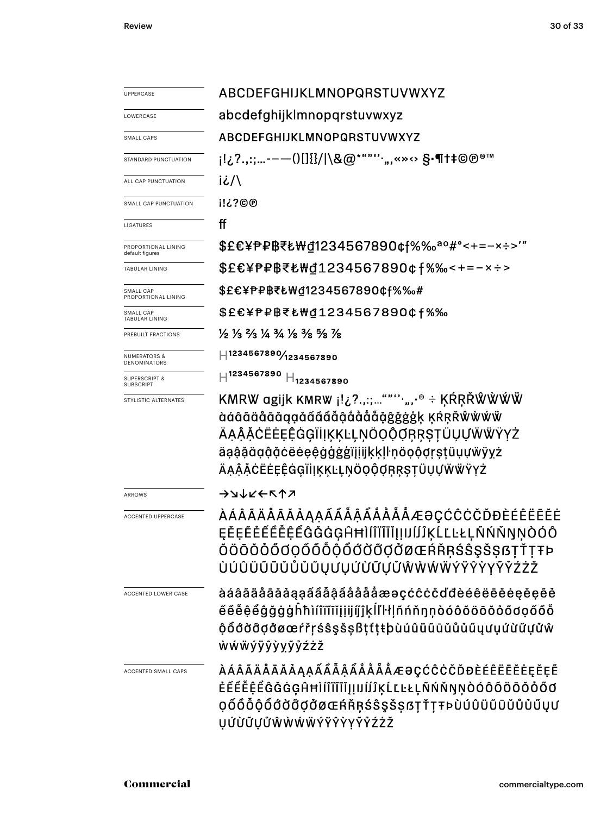Review 30 of 33

| <b>UPPERCASE</b>                             | ABCDEFGHIJKLMNOPQRSTUVWXYZ                                                                                                                                                                                                |  |  |  |
|----------------------------------------------|---------------------------------------------------------------------------------------------------------------------------------------------------------------------------------------------------------------------------|--|--|--|
| LOWERCASE                                    | abcdefghijklmnopqrstuvwxyz                                                                                                                                                                                                |  |  |  |
| SMALL CAPS                                   | ABCDEFGHIJKLMNOPQRSTUVWXYZ                                                                                                                                                                                                |  |  |  |
| STANDARD PUNCTUATION                         | ¡!¿?.,:;-——()[]{}/ \&@*""''·",«»↔ §·¶†‡©℗®™                                                                                                                                                                               |  |  |  |
| ALL CAP PUNCTUATION                          | iا/                                                                                                                                                                                                                       |  |  |  |
| SMALL CAP PUNCTUATION                        | <b>i!¿?©®</b>                                                                                                                                                                                                             |  |  |  |
| LIGATURES                                    | ff                                                                                                                                                                                                                        |  |  |  |
| PROPORTIONAL LINING<br>default figures       | \$£€¥₱₽₿₹₺₩₫1234567890¢f%‰ª°#°<+=-×÷>'"                                                                                                                                                                                   |  |  |  |
| TABULAR LINING                               | \$£€¥₱₽₿₹₺₩₫1234567890¢f%‰<+=-×÷>                                                                                                                                                                                         |  |  |  |
| SMALL CAP<br>PROPORTIONAL LINING             | \$£€¥₱₽₿₹₺₩₫1234567890¢f%‰#                                                                                                                                                                                               |  |  |  |
| SMALL CAP<br><b>TABULAR LINING</b>           | \$£€¥₱₽₿₹₺₩₫1234567890¢f%‰                                                                                                                                                                                                |  |  |  |
| PREBUILT FRACTIONS                           | $\frac{1}{2}$ $\frac{1}{3}$ $\frac{2}{3}$ $\frac{1}{4}$ $\frac{3}{4}$ $\frac{1}{8}$ $\frac{3}{8}$ $\frac{5}{8}$ $\frac{1}{8}$                                                                                             |  |  |  |
| <b>NUMERATORS &amp;</b><br>DENOMINATORS      | H1234567890/1234567890                                                                                                                                                                                                    |  |  |  |
| <b>SUPERSCRIPT &amp;</b><br><b>SUBSCRIPT</b> | $\rm H^{1234567890}$<br>$H_{1234567890}$                                                                                                                                                                                  |  |  |  |
| STYLISTIC ALTERNATES                         | KMRW agijk KMRW i!¿?.,:;"""',,,.® ÷ ĶŔŖŘŴŴŴŴ<br>àáâãäåāǎąąåãâåååååååå@åġĝġġģķ ĶŔŖŘŴŴŴŴ<br>ÄĄĄ̂ĂĊËĖĘĖĠĢĨİĮĶĶĿĻŅÖỌỘQŖŖŞŢÜŲŲŴŴŸYŻ<br>äąą̃ą̃äąą̃ą̃čëėe઼êġġġġïįįijķķḷŀņöọộợṛṣṭüụựẅÿyz<br>ÄĄĄ̂ĂĊËĖĘÊĠĢĨİĮĶĶĿĻŅÖQQ̃QŖŖŞŢÜŲŲŴŴŸYŻ |  |  |  |
| <b>ARROWS</b>                                | →→→∠← ∧↑                                                                                                                                                                                                                  |  |  |  |
| <b>ACCENTED UPPERCASE</b>                    | ÀÁÂÃÄÅÅĀĂÅĄĄÂÂÂÂÃĂĂÅÅÆƏÇĆĈĊČĎĐÈÉÊËĒĔĖ<br>ĘĔĘĔĔĔĔĔĔĔĠĠĠĠĠĤĦÌĺĨĨĨĬĮIJĺĴĴĶĹĽĿŁĻÑŃŇŊŅÒÓÔ<br>ŎÖŌŎŎŐŎQŎÕÕÕŎŐŎŎŎŎŎŒŔŘŖŚŜŞŠŞßŢŤŢŦÞ<br>ÙÚÛÜŨŨŬŮŮŮŰŲƯŲỨÙŨŲŮŴŴŴŴÝŸŶŶYŶŹŻŽ                                                            |  |  |  |
| <b>ACCENTED LOWER CASE</b>                   | àáâãäåāååąąãååååååååæaçćĉċčďđèéêëēěeeeee<br>éêė̃ę̃eg̃ğġģĥħìíîïīīĭįįijíjĵķĺľŀłḷñńňŋṇòóôõöōŏỏőơọốôỗ<br>ộổớờỡợởøœŕřŗśŝşšṣßṭtṭŧþùúûüũūǔůủǔyưụứừữựửŵ<br><b>wwwyyyyyyyzzz</b>                                                   |  |  |  |
| ACCENTED SMALL CAPS                          | ÀÁÂÃÄÅĀĂÅĄĄÁÂÂÂÅÅÅÅÅÆƏÇĆĈĊČĎĐÈÉÊËĒĖĘĚĘĔ<br>Ė̃ĔĔĔĔĔĜĞĠĢĤĦÌĺĨĬĨĨĬĮIJIJĨĴĶĹĽĿŁĻÑŃŇŊŅÒÓÔÕÖŌŎŎŐŐ<br>QŐŐŐŎŐŎŎŎŎŎØŒŔŘŖŚŜŞŠŞßŢŤŢŦÞÙÚÛÜŨŨŬŮŮŰŲƯ<br><b>ŲÚÙŨŲŮŴŴŴŴÝŸŶŶYŶŶŹŻŽ</b>                                                     |  |  |  |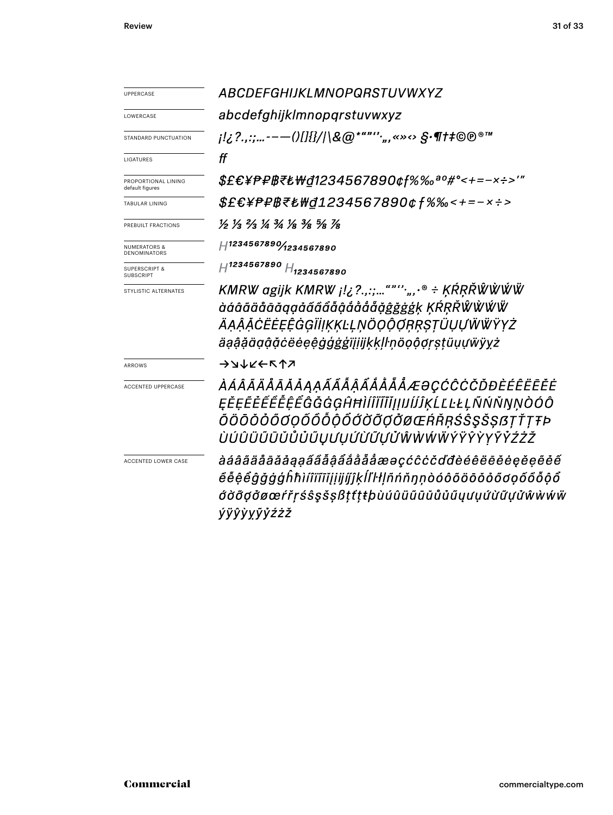| <b>UPPERCASE</b>                             | <i>ABCDEFGHIJKLMNOPQRSTUVWXYZ</i>                                                                                                                                                 |  |  |
|----------------------------------------------|-----------------------------------------------------------------------------------------------------------------------------------------------------------------------------------|--|--|
| LOWERCASE                                    | abcdefghijklmnopgrstuvwxyz                                                                                                                                                        |  |  |
| STANDARD PUNCTUATION                         |                                                                                                                                                                                   |  |  |
| LIGATURES                                    | ff                                                                                                                                                                                |  |  |
| PROPORTIONAL LINING<br>default figures       | \$£€¥₱₽₿₹₺₩₫1234567890¢f%‰ª°#°<+=-×÷>'"                                                                                                                                           |  |  |
| <b>TABULAR LINING</b>                        | \$£€¥₱₽₿₹₺₩₫1234567890¢f%‰<+=-×÷>                                                                                                                                                 |  |  |
| PREBUILT FRACTIONS                           | 1/2 1/3 ?/3 1/4 3/4 1/8 3/8 3/8 1/8                                                                                                                                               |  |  |
| NUMERATORS &<br>DENOMINATORS                 | H1234567890/1234567890                                                                                                                                                            |  |  |
| <b>SUPERSCRIPT &amp;</b><br><b>SUBSCRIPT</b> | $H^{1234567890}$ $H_{1234567890}$                                                                                                                                                 |  |  |
| STYLISTIC ALTERNATES                         | KMRW agijk KMRW ¡!¿?.,:;""'`*.,,.•® ÷ ĶŔŖŘŴŴŴŴ<br>àáâãäåāāqạảãâẩẫậåååååğġġġķ ĶŔŖŘŴŴŴŴ<br>ÄĄĄ̂ĂĊËĖĘÊĠĢĨĬĮĶĶĿĻŅÖỌỘỢŖŖŞŢŨŲŲŴŴŸYŻ<br>äąą̂ą̃äąą̂ą̃čëėe઼êġġ́ġġiį̃įijķķḷŀņöọộợṛṣṭüụựẅÿyż |  |  |
| <b>ARROWS</b>                                | →コ个トレレン                                                                                                                                                                           |  |  |
| <b>ACCENTED UPPERCASE</b>                    | ÀÁÂÃÄÅÅĀĂÅĄĄÁÂÂÂÅÅÅÅÅÆƏÇĆĈĊČĎĐÈÉÊËĒĔĖ<br>ĘĔĘĔĔĔĔĔĔĔĜĞĠĠĢĤĦÌĺĨĬĨĬĬĮIJĺĴĶĹĽĿŁĻÑŃŇŊŅÒÓÔ<br>ŎÖŌŎŎŎŎ <i>ŎŎŎŎŎŎŎŎŎŎŎ</i> ŎŎŒŔŘŖŚŜŞŠŞßŢŤŢŦÞ<br>ÙÚÛÜŨŨŨŮŮŮŰŲƯŲÚÙŨŲŮŴŴŴŴŶŸŶŶYŶŶŹŻŽ         |  |  |
| ACCENTED LOWER CASE                          | àáâãäåāăåąąããåậåååååæəçćĉċčďđèéêëēĕėęĕęẽéế<br>êễệểĝǧġģĥħìíîïīīĭįijijíjkĺľŀłḷñńňŋṇòóôõöōŏỏőơọốôỗộổ<br>ớờỡợởøœŕřŗśŝşšṣßṭťṭŧþùúûüũūŭůůűųưụứừữựửŵẁẃẅ<br><i>ÝŸŶ</i> Ŷ <i>YŶŽŹŽ</i>     |  |  |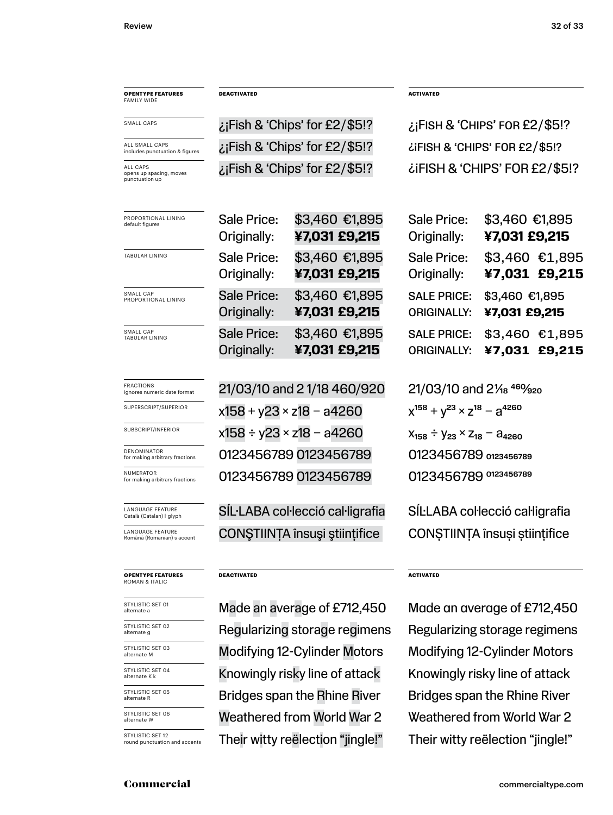### **OPENTYPE FEATURES** FAMILY WIDE

SMALL CAPS

ALL CAPS opens up spacing, moves punctuation up ALL SMALL CAPS includes punctuation & figures

| <b>FRACTIONS</b><br>ignores numeric date format |
|-------------------------------------------------|
| SUPERSCRIPT/SUPERIOR                            |

SUBSCRIPT/INFERIOR

DENOMINATOR for making arbitrary fractions

NUMERATOR for making arbitrary fractions

LANGUAGE FEATURE<br>Català (Catalan) I glyph

LANGUAGE FEATURE<br>Română (Romanian) s accent

#### **OPENTYPE FEATURES** ROMAN & ITALIC

STYLISTIC SET 04<br>alternate K k

STYLISTIC SET 05<br>alternate R

STYLISTIC SET 06

STYLISTIC SET 12<br>round punctuation and accents

| ¿¡Fish & 'Chips' for £2/\$5!? |
|-------------------------------|
| ¿¡Fish & 'Chips' for £2/\$5!? |
| ¿¡Fish & 'Chips' for £2/\$5!? |

| PROPORTIONAL LINING   | Sale Price:                | \$3,460 €1,895                  |
|-----------------------|----------------------------|---------------------------------|
| default figures       | Originally:                | ¥7,031 £9,215                   |
| <b>TABULAR LINING</b> | Sale Price:<br>Originally: | \$3,460 €1,895<br>¥7,031 £9,215 |
| SMALL CAP             | <b>Sale Price:</b>         | \$3,460 €1,895                  |
| PROPORTIONAL LINING   | Originally:                | ¥7,031 £9,215                   |
| SMALL CAP             | <b>Sale Price:</b>         | \$3,460 €1,895                  |
| <b>TABULAR LINING</b> | Originally:                | ¥7,031 £9,215                   |

 $21/03/10$  and 2 1/18 460/920 21/03/10 and 2 $\frac{460}{320}$  $x158 + y23 \times z18 - a4260$   $x^{158} + y^{23} \times z^{18} - a^{4260}$  $x158 \div y23 \times z18 - a4260$   $x_{158} \div y_{23} \times z_{18} - a_{4260}$ 0123456789 0123456789 0123456789 0123456789 0123456789 0123456789 0123456789 0123456789

CONŞTIINȚA însuși științifice CONȘTIINȚA însuși științifice SÍL·LABA col·lecció cal·ligrafia SÍL·LABA col·lecció cal·ligrafia

#### **DEACTIVATED**

**STYLISTIC SET OG Weathered from World War 2** Weathered from World War 2 Made an average of £712,450 Made an average of £712,450 Regularizing storage regimens Regularizing storage regimens Modifying 12-Cylinder Motors Modifying 12-Cylinder Motors K nowingly risky line of attack Knowingly risky line of attack Bridges span the Rhine River Bridges span the Rhine River Their witty reëlection "jingle!" Their witty reëlection "jingle!"

**DEACTIVATED ACTIVATED**

 $\ddot{\text{c}}$  iFISH & 'CHIPS' FOR £2/\$5!?  $\chi$ ¡Fish & 'Chips' for £2/\$5!? ¿¡Fish & 'Chips' for £2 / \$5!? ¿¡Fish & 'Chips' for £2 / \$5!?

| Sale Price:<br>Originally:               | \$3,460 €1,895<br>¥7,031 £9,215 |                                 |
|------------------------------------------|---------------------------------|---------------------------------|
| Sale Price:<br>Originally:               |                                 | \$3,460 €1,895<br>¥7,031 £9,215 |
| <b>SALE PRICE:</b><br><b>ORIGINALLY:</b> | \$3,460 €1,895<br>¥7,031 £9,215 |                                 |
| <b>SALE PRICE:</b><br><b>ORIGINALLY:</b> |                                 | \$3,460 €1,895<br>¥7,031 £9,215 |

#### **ACTIVATED**